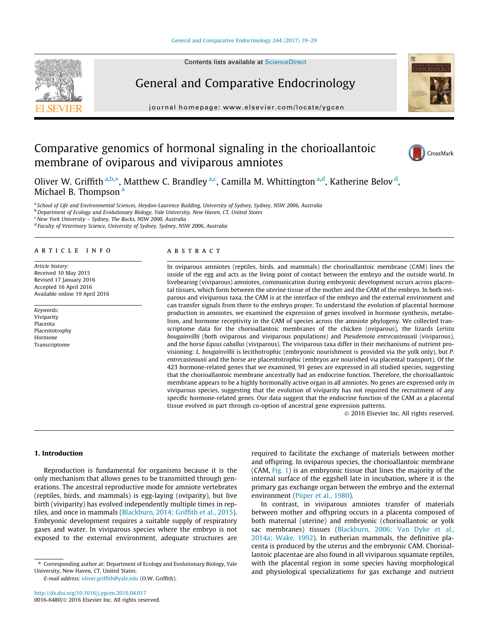



General and Comparative Endocrinology

# journal homepage: [www.elsevier.com/locate/ygcen](http://www.elsevier.com/locate/ygcen)

# Comparative genomics of hormonal signaling in the chorioallantoic membrane of oviparous and viviparous amniotes



Oliver W. Griffith<sup>a,b,\*</sup>, Matthew C. Brandley<sup>a,c</sup>, Camilla M. Whittington<sup>a,d</sup>, Katherine Belov<sup>d</sup>, Michael B. Thompson<sup>a</sup>

a School of Life and Environmental Sciences, Heydon-Laurence Building, University of Sydney, Sydney, NSW 2006, Australia b Department of Ecology and Evolutionary Biology, Yale University, New Haven, CT, United States  $c$  New York University – Sydney, The Rocks, NSW 2000, Australia <sup>d</sup> Faculty of Veterinary Science, University of Sydney, Sydney, NSW 2006, Australia

# article info

Article history: Received 10 May 2015 Revised 17 January 2016 Accepted 16 April 2016 Available online 19 April 2016

Keywords: Viviparity Placenta Placentotrophy Hormone Transcriptome

# ABSTRACT

In oviparous amniotes (reptiles, birds, and mammals) the chorioallantoic membrane (CAM) lines the inside of the egg and acts as the living point of contact between the embryo and the outside world. In livebearing (viviparous) amniotes, communication during embryonic development occurs across placental tissues, which form between the uterine tissue of the mother and the CAM of the embryo. In both oviparous and viviparous taxa, the CAM is at the interface of the embryo and the external environment and can transfer signals from there to the embryo proper. To understand the evolution of placental hormone production in amniotes, we examined the expression of genes involved in hormone synthesis, metabolism, and hormone receptivity in the CAM of species across the amniote phylogeny. We collected transcriptome data for the chorioallantoic membranes of the chicken (oviparous), the lizards Lerista bougainvillii (both oviparous and viviparous populations) and Pseudemoia entrecasteauxii (viviparous), and the horse Equus caballus (viviparous). The viviparous taxa differ in their mechanisms of nutrient provisioning: L. bougainvillii is lecithotrophic (embryonic nourishment is provided via the yolk only), but P. entrecasteauxii and the horse are placentotrophic (embryos are nourished via placental transport). Of the 423 hormone-related genes that we examined, 91 genes are expressed in all studied species, suggesting that the chorioallantoic membrane ancestrally had an endocrine function. Therefore, the chorioallantoic membrane appears to be a highly hormonally active organ in all amniotes. No genes are expressed only in viviparous species, suggesting that the evolution of viviparity has not required the recruitment of any specific hormone-related genes. Our data suggest that the endocrine function of the CAM as a placental tissue evolved in part through co-option of ancestral gene expression patterns.

2016 Elsevier Inc. All rights reserved.

# 1. Introduction

Reproduction is fundamental for organisms because it is the only mechanism that allows genes to be transmitted through generations. The ancestral reproductive mode for amniote vertebrates (reptiles, birds, and mammals) is egg-laying (oviparity), but live birth (viviparity) has evolved independently multiple times in reptiles, and once in mammals [\(Blackburn, 2014; Griffith et al., 2015\)](#page-8-0). Embryonic development requires a suitable supply of respiratory gases and water. In viviparous species where the embryo is not exposed to the external environment, adequate structures are

E-mail address: [oliver.griffith@yale.edu](mailto:oliver.griffith@yale.edu) (O.W. Griffith).

required to facilitate the exchange of materials between mother and offspring. In oviparous species, the chorioallantoic membrane (CAM, [Fig. 1\)](#page-1-0) is an embryonic tissue that lines the majority of the internal surface of the eggshell late in incubation, where it is the primary gas exchange organ between the embryo and the external environment ([Piiper et al., 1980\)](#page-9-0).

In contrast, in viviparous amniotes transfer of materials between mother and offspring occurs in a placenta composed of both maternal (uterine) and embryonic (chorioallantoic or yolk sac membranes) tissues [\(Blackburn, 2006; Van Dyke et al.,](#page-8-0) [2014a; Wake, 1992\)](#page-8-0). In eutherian mammals, the definitive placenta is produced by the uterus and the embryonic CAM. Chorioallantoic placentae are also found in all viviparous squamate reptiles, with the placental region in some species having morphological and physiological specializations for gas exchange and nutrient

<sup>⇑</sup> Corresponding author at: Department of Ecology and Evolutionary Biology, Yale University, New Haven, CT, United States.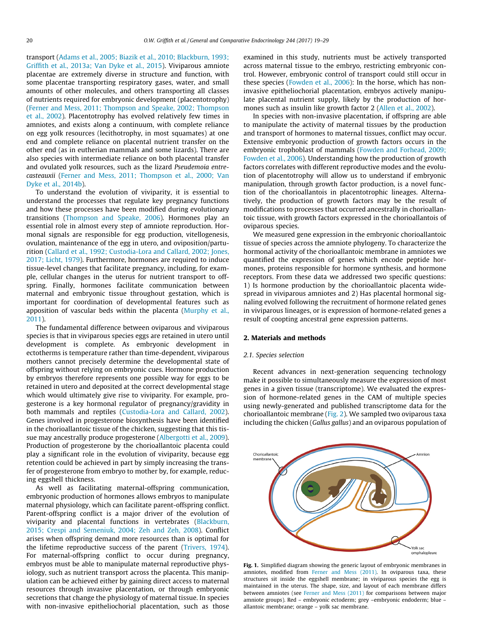<span id="page-1-0"></span>transport [\(Adams et al., 2005; Biazik et al., 2010; Blackburn, 1993;](#page-8-0) [Griffith et al., 2013a; Van Dyke et al., 2015\)](#page-8-0). Viviparous amniote placentae are extremely diverse in structure and function, with some placentae transporting respiratory gases, water, and small amounts of other molecules, and others transporting all classes of nutrients required for embryonic development (placentotrophy) ([Ferner and Mess, 2011; Thompson and Speake, 2002; Thompson](#page-9-0) [et al., 2002\)](#page-9-0). Placentotrophy has evolved relatively few times in amniotes, and exists along a continuum, with complete reliance on egg yolk resources (lecithotrophy, in most squamates) at one end and complete reliance on placental nutrient transfer on the other end (as in eutherian mammals and some lizards). There are also species with intermediate reliance on both placental transfer and ovulated yolk resources, such as the lizard Pseudemoia entrecasteauxii ([Ferner and Mess, 2011; Thompson et al., 2000; Van](#page-9-0) [Dyke et al., 2014b](#page-9-0)).

To understand the evolution of viviparity, it is essential to understand the processes that regulate key pregnancy functions and how these processes have been modified during evolutionary transitions ([Thompson and Speake, 2006](#page-9-0)). Hormones play an essential role in almost every step of amniote reproduction. Hormonal signals are responsible for egg production, vitellogenesis, ovulation, maintenance of the egg in utero, and oviposition/parturition [\(Callard et al., 1992; Custodia-Lora and Callard, 2002; Jones,](#page-8-0) [2017; Licht, 1979](#page-8-0)). Furthermore, hormones are required to induce tissue-level changes that facilitate pregnancy, including, for example, cellular changes in the uterus for nutrient transport to offspring. Finally, hormones facilitate communication between maternal and embryonic tissue throughout gestation, which is important for coordination of developmental features such as apposition of vascular beds within the placenta ([Murphy et al.,](#page-9-0) [2011\)](#page-9-0).

The fundamental difference between oviparous and viviparous species is that in viviparous species eggs are retained in utero until development is complete. As embryonic development in ectotherms is temperature rather than time-dependent, viviparous mothers cannot precisely determine the developmental state of offspring without relying on embryonic cues. Hormone production by embryos therefore represents one possible way for eggs to be retained in utero and deposited at the correct developmental stage which would ultimately give rise to viviparity. For example, progesterone is a key hormonal regulator of pregnancy/gravidity in both mammals and reptiles [\(Custodia-Lora and Callard, 2002\)](#page-9-0). Genes involved in progesterone biosynthesis have been identified in the chorioallantoic tissue of the chicken, suggesting that this tissue may ancestrally produce progesterone ([Albergotti et al., 2009\)](#page-8-0). Production of progesterone by the chorioallantoic placenta could play a significant role in the evolution of viviparity, because egg retention could be achieved in part by simply increasing the transfer of progesterone from embryo to mother by, for example, reducing eggshell thickness.

As well as facilitating maternal-offspring communication, embryonic production of hormones allows embryos to manipulate maternal physiology, which can facilitate parent-offspring conflict. Parent-offspring conflict is a major driver of the evolution of viviparity and placental functions in vertebrates ([Blackburn,](#page-8-0) [2015; Crespi and Semeniuk, 2004; Zeh and Zeh, 2008](#page-8-0)). Conflict arises when offspring demand more resources than is optimal for the lifetime reproductive success of the parent ([Trivers, 1974\)](#page-10-0). For maternal-offspring conflict to occur during pregnancy, embryos must be able to manipulate maternal reproductive physiology, such as nutrient transport across the placenta. This manipulation can be achieved either by gaining direct access to maternal resources through invasive placentation, or through embryonic secretions that change the physiology of maternal tissue. In species with non-invasive epitheliochorial placentation, such as those examined in this study, nutrients must be actively transported across maternal tissue to the embryo, restricting embryonic control. However, embryonic control of transport could still occur in these species ([Fowden et al., 2006](#page-9-0)): In the horse, which has noninvasive epitheliochorial placentation, embryos actively manipulate placental nutrient supply, likely by the production of hormones such as insulin like growth factor 2 ([Allen et al., 2002](#page-8-0)).

In species with non-invasive placentation, if offspring are able to manipulate the activity of maternal tissues by the production and transport of hormones to maternal tissues, conflict may occur. Extensive embryonic production of growth factors occurs in the embryonic trophoblast of mammals ([Fowden and Forhead, 2009;](#page-9-0) [Fowden et al., 2006\)](#page-9-0). Understanding how the production of growth factors correlates with different reproductive modes and the evolution of placentotrophy will allow us to understand if embryonic manipulation, through growth factor production, is a novel function of the chorioallantois in placentotrophic lineages. Alternatively, the production of growth factors may be the result of modifications to processes that occurred ancestrally in chorioallantoic tissue, with growth factors expressed in the chorioallantois of oviparous species.

We measured gene expression in the embryonic chorioallantoic tissue of species across the amniote phylogeny. To characterize the hormonal activity of the chorioallantoic membrane in amniotes we quantified the expression of genes which encode peptide hormones, proteins responsible for hormone synthesis, and hormone receptors. From these data we addressed two specific questions: 1) Is hormone production by the chorioallantoic placenta widespread in viviparous amniotes and 2) Has placental hormonal signaling evolved following the recruitment of hormone related genes in viviparous lineages, or is expression of hormone-related genes a result of coopting ancestral gene expression patterns.

## 2. Materials and methods

## 2.1. Species selection

Recent advances in next-generation sequencing technology make it possible to simultaneously measure the expression of most genes in a given tissue (transcriptome). We evaluated the expression of hormone-related genes in the CAM of multiple species using newly-generated and published transcriptome data for the chorioallantoic membrane ([Fig. 2\)](#page-2-0). We sampled two oviparous taxa including the chicken (Gallus gallus) and an oviparous population of



Fig. 1. Simplified diagram showing the generic layout of embryonic membranes in amniotes, modified from [Ferner and Mess \(2011\)](#page-9-0). In oviparous taxa, these structures sit inside the eggshell membrane; in viviparous species the egg is maintained in the uterus. The shape, size, and layout of each membrane differs between amniotes (see [Ferner and Mess \(2011\)](#page-9-0) for comparisons between major amniote groups). Red – embryonic ectoderm; grey –embryonic endoderm; blue – allantoic membrane; orange – yolk sac membrane.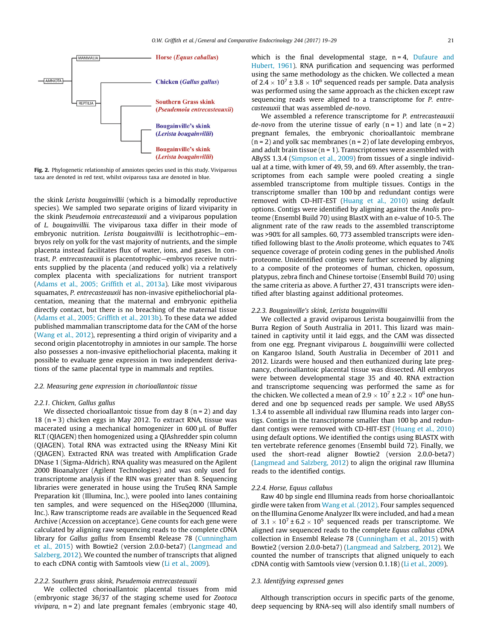<span id="page-2-0"></span>

Fig. 2. Phylogenetic relationship of amniotes species used in this study. Viviparous taxa are denoted in red text, whilst oviparous taxa are denoted in blue.

the skink Lerista bougainvillii (which is a bimodally reproductive species). We sampled two separate origins of lizard viviparity in the skink Pseudemoia entrecasteauxii and a viviparous population of L. bougainvillii. The viviparous taxa differ in their mode of embryonic nutrition. Lerista bougainvillii is lecithotrophic—embryos rely on yolk for the vast majority of nutrients, and the simple placenta instead facilitates flux of water, ions, and gases. In contrast, P. entrecasteauxii is placentotrophic—embryos receive nutrients supplied by the placenta (and reduced yolk) via a relatively complex placenta with specializations for nutrient transport ([Adams et al., 2005; Griffith et al., 2013a](#page-8-0)). Like most viviparous squamates, P. entrecasteauxii has non-invasive epitheliochorial placentation, meaning that the maternal and embryonic epithelia directly contact, but there is no breaching of the maternal tissue ([Adams et al., 2005; Griffith et al., 2013b\)](#page-8-0). To these data we added published mammalian transcriptome data for the CAM of the horse ([Wang et al., 2012\)](#page-10-0), representing a third origin of viviparity and a second origin placentotrophy in amniotes in our sample. The horse also possesses a non-invasive epitheliochorial placenta, making it possible to evaluate gene expression in two independent derivations of the same placental type in mammals and reptiles.

## 2.2. Measuring gene expression in chorioallantoic tissue

## 2.2.1. Chicken, Gallus gallus

We dissected chorioallantoic tissue from day  $8$  (n = 2) and day 18 (n = 3) chicken eggs in May 2012. To extract RNA, tissue was macerated using a mechanical homogenizer in 600 µL of Buffer RLT (QIAGEN) then homogenized using a QIAshredder spin column (QIAGEN). Total RNA was extracted using the RNeasy Mini Kit (QIAGEN). Extracted RNA was treated with Amplification Grade DNase 1 (Sigma-Aldrich). RNA quality was measured on the Agilent 2000 Bioanalyzer (Agilent Technologies) and was only used for transcriptome analysis if the RIN was greater than 8. Sequencing libraries were generated in house using the TruSeq RNA Sample Preparation kit (Illumina, Inc.), were pooled into lanes containing ten samples, and were sequenced on the HiSeq2000 (Illumina, Inc.). Raw transcriptome reads are available in the Sequenced Read Archive (Accession on acceptance). Gene counts for each gene were calculated by aligning raw sequencing reads to the complete cDNA library for Gallus gallus from Ensembl Release 78 [\(Cunningham](#page-9-0) [et al., 2015](#page-9-0)) with Bowtie2 (version 2.0.0-beta7) [\(Langmead and](#page-9-0) [Salzberg, 2012](#page-9-0)). We counted the number of transcripts that aligned to each cDNA contig with Samtools view ([Li et al., 2009](#page-9-0)).

# 2.2.2. Southern grass skink, Pseudemoia entrecasteauxii

We collected chorioallantoic placental tissues from mid (embryonic stage 36/37 of the staging scheme used for Zootoca *vivipara*,  $n = 2$ ) and late pregnant females (embryonic stage 40, which is the final developmental stage,  $n = 4$ . [Dufaure and](#page-9-0) [Hubert, 1961\)](#page-9-0). RNA purification and sequencing was performed using the same methodology as the chicken. We collected a mean of  $2.4 \times 10^7 \pm 3.8 \times 10^6$  sequenced reads per sample. Data analysis was performed using the same approach as the chicken except raw sequencing reads were aligned to a transcriptome for P. entrecasteauxii that was assembled de-novo.

We assembled a reference transcriptome for P. entrecasteauxii de-novo from the uterine tissue of early  $(n = 1)$  and late  $(n = 2)$ pregnant females, the embryonic chorioallantoic membrane  $(n = 2)$  and yolk sac membranes  $(n = 2)$  of late developing embryos, and adult brain tissue ( $n = 1$ ). Transcriptomes were assembled with ABySS 1.3.4 [\(Simpson et al., 2009](#page-9-0)) from tissues of a single individual at a time, with kmer of 49, 59, and 69. After assembly, the transcriptomes from each sample were pooled creating a single assembled transcriptome from multiple tissues. Contigs in the transcriptome smaller than 100 bp and redundant contigs were removed with CD-HIT-EST [\(Huang et al., 2010](#page-9-0)) using default options. Contigs were identified by aligning against the Anolis proteome (Ensembl Build 70) using BlastX with an e-value of 10-5. The alignment rate of the raw reads to the assembled transcriptome was >90% for all samples. 60, 773 assembled transcripts were identified following blast to the Anolis proteome, which equates to 74% sequence coverage of protein coding genes in the published Anolis proteome. Unidentified contigs were further screened by aligning to a composite of the proteomes of human, chicken, opossum, platypus, zebra finch and Chinese tortoise (Ensembl Build 70) using the same criteria as above. A further 27, 431 transcripts were identified after blasting against additional proteomes.

#### 2.2.3. Bougainville's skink, Lerista bougainvillii

We collected a gravid oviparous Lerista bougainvillii from the Burra Region of South Australia in 2011. This lizard was maintained in captivity until it laid eggs, and the CAM was dissected from one egg. Pregnant viviparous L. bougainvillii were collected on Kangaroo Island, South Australia in December of 2011 and 2012. Lizards were housed and then euthanized during late pregnancy, chorioallantoic placental tissue was dissected. All embryos were between developmental stage 35 and 40. RNA extraction and transcriptome sequencing was performed the same as for the chicken. We collected a mean of  $2.9 \times 10^7 \pm 2.2 \times 10^6$  one hundered and one bp sequenced reads per sample. We used ABySS 1.3.4 to assemble all individual raw Illumina reads into larger contigs. Contigs in the transcriptome smaller than 100 bp and redundant contigs were removed with CD-HIT-EST ([Huang et al., 2010\)](#page-9-0) using default options. We identified the contigs using BLASTX with ten vertebrate reference genomes (Ensembl build 72). Finally, we used the short-read aligner Bowtie2 (version 2.0.0-beta7) ([Langmead and Salzberg, 2012\)](#page-9-0) to align the original raw Illumina reads to the identified contigs.

#### 2.2.4. Horse, Equus callabus

Raw 40 bp single end Illumina reads from horse chorioallantoic girdle were taken from [Wang et al. \(2012\)](#page-10-0). Four samples sequenced on the Illumina Genome Analyzer IIx were included, and had a mean of  $3.1 \times 10^7 \pm 6.2 \times 10^5$  sequenced reads per transcriptome. We aligned raw sequenced reads to the complete Equus callabus cDNA collection in Ensembl Release 78 [\(Cunningham et al., 2015\)](#page-9-0) with Bowtie2 (version 2.0.0-beta7) [\(Langmead and Salzberg, 2012](#page-9-0)). We counted the number of transcripts that aligned uniquely to each cDNA contig with Samtools view (version 0.1.18) [\(Li et al., 2009\)](#page-9-0).

#### 2.3. Identifying expressed genes

Although transcription occurs in specific parts of the genome, deep sequencing by RNA-seq will also identify small numbers of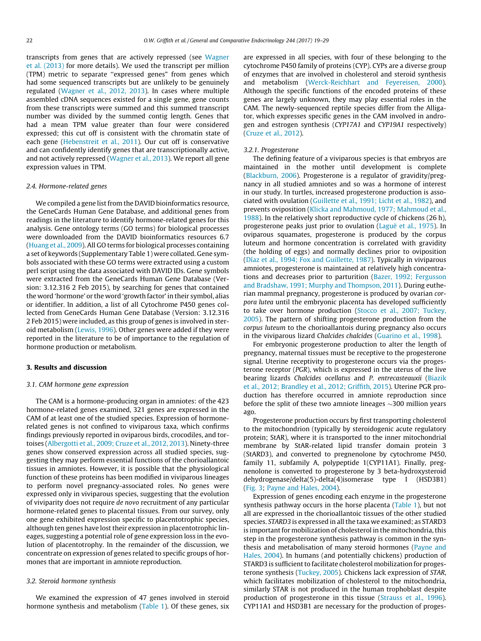transcripts from genes that are actively repressed (see [Wagner](#page-10-0) [et al. \(2013\)](#page-10-0) for more details). We used the transcript per million (TPM) metric to separate ''expressed genes" from genes which had some sequenced transcripts but are unlikely to be genuinely regulated ([Wagner et al., 2012, 2013](#page-10-0)). In cases where multiple assembled cDNA sequences existed for a single gene, gene counts from these transcripts were summed and this summed transcript number was divided by the summed contig length. Genes that had a mean TPM value greater than four were considered expressed; this cut off is consistent with the chromatin state of each gene [\(Hebenstreit et al., 2011\)](#page-9-0). Our cut off is conservative and can confidently identify genes that are transcriptionally active, and not actively repressed ([Wagner et al., 2013](#page-10-0)). We report all gene expression values in TPM.

### 2.4. Hormone-related genes

We compiled a gene list from the DAVID bioinformatics resource, the GeneCards Human Gene Database, and additional genes from readings in the literature to identify hormone-related genes for this analysis. Gene ontology terms (GO terms) for biological processes were downloaded from the DAVID bioinformatics resources 6.7 ([Huang et al., 2009\)](#page-9-0). All GO terms for biological processes containing a set of keywords (Supplementary Table 1) were collated. Gene symbols associated with these GO terms were extracted using a custom perl script using the data associated with DAVID IDs. Gene symbols were extracted from the GeneCards Human Gene Database (Version: 3.12.316 2 Feb 2015), by searching for genes that contained the word 'hormone' or the word 'growth factor' in their symbol, alias or identifier. In addition, a list of all Cytochrome P450 genes collected from GeneCards Human Gene Database (Version: 3.12.316 2 Feb 2015) were included, as this group of genes is involved in steroid metabolism [\(Lewis, 1996](#page-9-0)). Other genes were added if they were reported in the literature to be of importance to the regulation of hormone production or metabolism.

# 3. Results and discussion

#### 3.1. CAM hormone gene expression

The CAM is a hormone-producing organ in amniotes: of the 423 hormone-related genes examined, 321 genes are expressed in the CAM of at least one of the studied species. Expression of hormonerelated genes is not confined to viviparous taxa, which confirms findings previously reported in oviparous birds, crocodiles, and tortoises [\(Albergotti et al., 2009; Cruze et al., 2012, 2013\)](#page-8-0). Ninety-three genes show conserved expression across all studied species, suggesting they may perform essential functions of the chorioallantoic tissues in amniotes. However, it is possible that the physiological function of these proteins has been modified in viviparous lineages to perform novel pregnancy-associated roles. No genes were expressed only in viviparous species, suggesting that the evolution of viviparity does not require de novo recruitment of any particular hormone-related genes to placental tissues. From our survey, only one gene exhibited expression specific to placentotrophic species, although ten genes have lost their expression in placentotrophic lineages, suggesting a potential role of gene expression loss in the evolution of placentotrophy. In the remainder of the discussion, we concentrate on expression of genes related to specific groups of hormones that are important in amniote reproduction.

## 3.2. Steroid hormone synthesis

We examined the expression of 47 genes involved in steroid hormone synthesis and metabolism ([Table 1\)](#page-4-0). Of these genes, six

are expressed in all species, with four of these belonging to the cytochrome P450 family of proteins (CYP). CYPs are a diverse group of enzymes that are involved in cholesterol and steroid synthesis and metabolism ([Werck-Reichhart and Feyereisen, 2000\)](#page-10-0). Although the specific functions of the encoded proteins of these genes are largely unknown, they may play essential roles in the CAM. The newly-sequenced reptile species differ from the Alligator, which expresses specific genes in the CAM involved in androgen and estrogen synthesis (CYP17A1 and CYP19A1 respectively) ([Cruze et al., 2012](#page-9-0)).

### 3.2.1. Progesterone

The defining feature of a viviparous species is that embryos are maintained in the mother until development is complete ([Blackburn, 2006](#page-8-0)). Progesterone is a regulator of gravidity/pregnancy in all studied amniotes and so was a hormone of interest in our study. In turtles, increased progesterone production is associated with ovulation ([Guillette et al., 1991; Licht et al., 1982\)](#page-9-0), and prevents oviposition ([Klicka and Mahmoud, 1977; Mahmoud et al.,](#page-9-0) [1988\)](#page-9-0). In the relatively short reproductive cycle of chickens (26 h), progesterone peaks just prior to ovulation ([Laguë et al., 1975](#page-9-0)). In oviparous squamates, progesterone is produced by the corpus luteum and hormone concentration is correlated with gravidity (the holding of eggs) and normally declines prior to oviposition ([Díaz et al., 1994; Fox and Guillette, 1987\)](#page-9-0). Typically in viviparous amniotes, progesterone is maintained at relatively high concentrations and decreases prior to parturition ([Bazer, 1992; Fergusson](#page-8-0) [and Bradshaw, 1991; Murphy and Thompson, 2011](#page-8-0)). During eutherian mammal pregnancy, progesterone is produced by ovarian corpora lutea until the embryonic placenta has developed sufficiently to take over hormone production ([Stocco et al., 2007; Tuckey,](#page-9-0) [2005\)](#page-9-0). The pattern of shifting progesterone production from the corpus luteum to the chorioallantois during pregnancy also occurs in the viviparous lizard Chalcides chalcides [\(Guarino et al., 1998](#page-9-0)).

For embryonic progesterone production to alter the length of pregnancy, maternal tissues must be receptive to the progesterone signal. Uterine receptivity to progesterone occurs via the progesterone receptor (PGR), which is expressed in the uterus of the live bearing lizards Chalcides ocellatus and P. entrecasteauxii [\(Biazik](#page-8-0) [et al., 2012; Brandley et al., 2012; Griffith, 2015](#page-8-0)). Uterine PGR production has therefore occurred in amniote reproduction since before the split of these two amniote lineages  $\sim$ 300 million years ago.

Progesterone production occurs by first transporting cholesterol to the mitochondrion (typically by steroidogenic acute regulatory protein; StAR), where it is transported to the inner mitochondrial membrane by StAR-related lipid transfer domain protein 3 (StARD3), and converted to pregnenolone by cytochrome P450, family 11, subfamily A, polypeptide 1(CYP11A1). Finally, pregnenolone is converted to progesterone by 3 beta-hydroxysteroid dehydrogenase/delta(5)-delta(4)isomerase type I (HSD3B1) ([Fig. 3](#page-5-0); [Payne and Hales, 2004\)](#page-9-0).

Expression of genes encoding each enzyme in the progesterone synthesis pathway occurs in the horse placenta [\(Table 1\)](#page-4-0), but not all are expressed in the chorioallantoic tissues of the other studied species. STARD3 is expressed in all the taxa we examined; as STARD3 is important for mobilization of cholesterol in the mitochondria, this step in the progesterone synthesis pathway is common in the synthesis and metabolisation of many steroid hormones ([Payne and](#page-9-0) [Hales, 2004](#page-9-0)). In humans (and potentially chickens) production of STARD3 is sufficient to facilitate cholesterol mobilization for progesterone synthesis [\(Tuckey, 2005](#page-10-0)). Chickens lack expression of STAR, which facilitates mobilization of cholesterol to the mitochondria, similarly STAR is not produced in the human trophoblast despite production of progesterone in this tissue [\(Strauss et al., 1996\)](#page-9-0). CYP11A1 and HSD3B1 are necessary for the production of proges-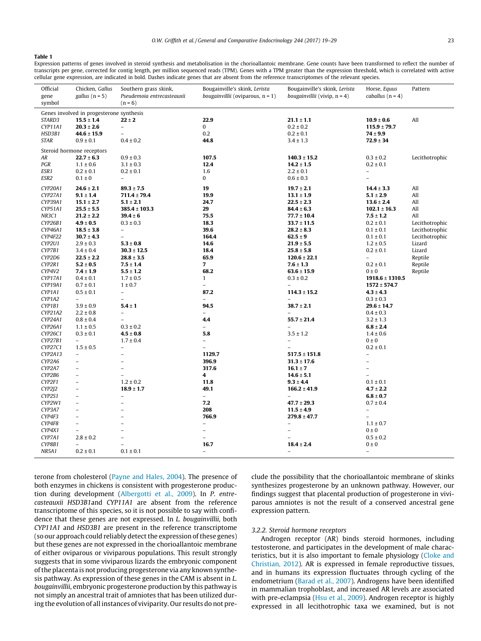#### <span id="page-4-0"></span>Table 1

Expression patterns of genes involved in steroid synthesis and metabolisation in the chorioallantoic membrane. Gene counts have been transformed to reflect the number of transcripts per gene, corrected for contig length, per million sequenced reads (TPM). Genes with a TPM greater than the expression threshold, which is correlated with active cellular gene expression, are indicated in bold. Dashes indicate genes that are absent from the reference transcriptomes of the relevant species.

| Genes involved in progesterone synthesis<br>22.9<br>STARD3<br>$15.5 \pm 1.4$<br>$22 \pm 2$<br>$21.1 \pm 1.1$<br>All<br>$10.9 \pm 0.6$<br>$\bf{0}$<br>$0.2 \pm 0.2$<br>CYP11A1<br>$20.3 \pm 2.6$<br>$115.9 \pm 79.7$<br>$\overline{a}$<br>0.2<br>HSD3B1<br>$44.6 \pm 15.9$<br>$0.2 \pm 0.1$<br>$74 \pm 9.9$<br>$\overline{\phantom{0}}$<br><b>STAR</b><br>44.8<br>$0.9 \pm 0.1$<br>$0.4 \pm 0.2$<br>$3.4 \pm 1.3$<br>$72.9 \pm 34$<br>Steroid hormone receptors<br>AR<br>$22.7 \pm 6.3$<br>$0.9 \pm 0.3$<br>107.5<br>Lecithotrophic<br>$140.3 \pm 15.2$<br>$0.3 \pm 0.2$<br>PGR<br>12.4<br>$1.1 \pm 0.6$<br>$3.1 \pm 0.3$<br>$14.2 \pm 1.5$<br>$0.2 \pm 0.1$<br>$2.2 \pm 0.1$<br>ESR1<br>$0.2 \pm 0.1$<br>$0.2 \pm 0.1$<br>1.6<br>$\overline{\phantom{0}}$<br>ESR2<br>0<br>$0.1 \pm 0$<br>$0.6 \pm 0.3$<br>-<br>19<br>CYP20A1<br>$89.3 \pm 7.5$<br>$19.7 \pm 2.1$<br>All<br>$24.6 \pm 2.1$<br>$14.4 \pm 3.3$<br>19.9<br>CYP27A1<br>$9.1 \pm 1.4$<br>$711.4 \pm 79.4$<br>$13.1 \pm 1.9$<br>$5.1 \pm 2.9$<br>All<br>CYP39A1<br>$22.5 \pm 2.3$<br>All<br>$15.1 \pm 2.7$<br>$5.1 \pm 2.1$<br>24.7<br>$13.6 \pm 2.4$<br>CYP51A1<br>29<br>$25.5 \pm 5.5$<br>$385.4 \pm 103.3$<br>$84.4 \pm 6.3$<br>$102.1 \pm 16.3$<br>All<br>NR3C1<br>75.5<br>All<br>$21.2 \pm 2.2$<br>$39.4 \pm 6$<br>$77.7 \pm 10.4$<br>$7.5 \pm 1.2$<br>CYP26B1<br>$4.9 \pm 0.5$<br>$0.3 \pm 0.3$<br>18.3<br>$33.7 \pm 11.5$<br>$0.2 \pm 0.1$<br>Lecithotrophic<br>CYP46A1<br>39.6<br>$28.2 \pm 8.3$<br>Lecithotrophic<br>$18.5 \pm 3.8$<br>$0.1 \pm 0.1$<br>$\overline{\phantom{0}}$<br>CYP4F22<br>$62.5 \pm 9$<br>Lecithotrophic<br>$30.7 \pm 4.3$<br>$\overline{\phantom{0}}$<br>164.4<br>$0.1 \pm 0.1$<br>CYP2U1<br>$2.9 \pm 0.3$<br>14.6<br>$1.2 \pm 0.5$<br>Lizard<br>$5.3 \pm 0.8$<br>$21.9 \pm 5.5$<br>CYP7B1<br>Lizard<br>$3.4 \pm 0.4$<br>$30.3 \pm 12.5$<br>18.4<br>$25.8 \pm 5.8$<br>$0.2 \pm 0.1$<br>CYP2D6<br>$22.5 \pm 2.2$<br>65.9<br>$28.8 \pm 3.5$<br>$120.6 \pm 22.1$<br>Reptile<br>$\overline{\phantom{0}}$<br>$\overline{7}$<br>CYP2R1<br>Reptile<br>$5.2 \pm 0.5$<br>$7.5 \pm 1.4$<br>$7.6 \pm 1.3$<br>$0.2 \pm 0.1$<br>CYP4V2<br>$7.4 \pm 1.9$<br>$5.5 \pm 1.2$<br>68.2<br>$63.6 \pm 15.9$<br>$0 \pm 0$<br>Reptile<br>CYP17A1<br>$1.7 \pm 0.5$<br>$\mathbf{1}$<br>$0.3 \pm 0.2$<br>$0.4 \pm 0.1$<br>$1918.6 \pm 1310.5$<br>CYP19A1<br>$0.7 \pm 0.1$<br>$1 \pm 0.7$<br>$\overline{a}$<br>$1572 \pm 574.7$<br>$\overline{a}$<br>CYP1A1<br>87.2<br>$0.5 \pm 0.1$<br>$114.3 \pm 15.2$<br>$\overline{\phantom{0}}$<br>$4.3 \pm 4.3$<br>CYP1A2<br>$\overline{a}$<br>$0.3 \pm 0.3$<br>$\overline{\phantom{0}}$<br>94.5<br>CYP1B1<br>$5.4 \pm 1$<br>$38.7 \pm 2.1$<br>$3.9 \pm 0.9$<br>$29.6 \pm 14.7$<br>CYP21A2<br>$2.2 \pm 0.8$<br>$0.4 \pm 0.3$<br>$\overline{\phantom{0}}$<br>$\overline{\phantom{a}}$<br>$\qquad \qquad -$<br>CYP24A1<br>$0.8 \pm 0.4$<br>4.4<br>$3.2 \pm 1.3$<br>$55.7 \pm 21.4$<br>$\overline{\phantom{0}}$<br>CYP26A1<br>$6.8 \pm 2.4$<br>$1.1 \pm 0.5$<br>$0.3 \pm 0.2$<br>÷,<br>$\overline{\phantom{a}}$<br>5.8<br>$3.5 \pm 1.2$<br><b>CYP26C1</b><br>$0.3 \pm 0.1$<br>$4.5 \pm 0.8$<br>$1.4 \pm 0.6$<br>CYP27B1<br>$1.7 \pm 0.4$<br>$0\pm0$<br>÷,<br>$\equiv$<br>$\overline{\phantom{a}}$<br>CYP27C1<br>$0.2 \pm 0.1$<br>$1.5 \pm 0.5$<br>$\equiv$<br>$\overline{\phantom{0}}$<br>$\equiv$<br>CYP2A13<br>1129.7<br>$517.5 \pm 151.8$<br>$\equiv$<br>$\overline{a}$<br>$\equiv$<br>396.9<br>CYP2A6<br>$31.3 \pm 17.6$<br>$\equiv$<br>$\overline{a}$<br>$\overline{a}$<br>CYP2A7<br>317.6<br>$16.1 \pm 7$<br>$\overline{\phantom{0}}$<br>$\overline{a}$<br>$\overline{a}$<br>CYP2B6<br>4<br>$14.6 \pm 5.1$<br>CYP2F1<br>$1.2 \pm 0.2$<br>11.8<br>$9.3 \pm 4.4$<br>$0.1 \pm 0.1$<br>$\overline{a}$<br>CYP2I2<br>$18.9 \pm 1.7$<br>49.1<br>$166.2 \pm 41.9$<br>$4.7 \pm 2.2$<br>CYP2S1<br>$6.8 \pm 0.7$<br>$\overline{\phantom{0}}$<br>$\overline{a}$<br>$\overline{a}$<br>$\overline{\phantom{0}}$<br>7.2<br>CYP2W1<br>$47.7 \pm 29.3$<br>$0.7 \pm 0.4$<br>$\overline{\phantom{0}}$<br>-<br>CYP3A7<br>208<br>$11.5 \pm 4.9$<br>$\overline{\phantom{0}}$<br>$\equiv$<br>$\overline{a}$<br>CYP4F3<br>766.9<br>$279.8 \pm 47.7$<br>$\overline{\phantom{a}}$<br>$\overline{\phantom{0}}$<br>CYP4F8<br>$1.1 \pm 0.7$<br>$\equiv$<br>$\overline{\phantom{0}}$<br>$\overline{\phantom{a}}$<br>CYP4X1<br>$0\pm0$<br>$\overline{\phantom{0}}$<br>$\overline{\phantom{0}}$<br>$\overline{a}$<br>CYP7A1<br>$2.8 \pm 0.2$<br>$\overline{a}$<br>$0.5 \pm 0.2$<br>CYP8B1<br>$18.4 \pm 2.4$<br>16.7<br>$0 \pm 0$<br>$\overline{\phantom{a}}$<br>NR5A1<br>$0.2 \pm 0.1$<br>$0.1 \pm 0.1$<br>$\overline{\phantom{0}}$<br>÷ | Official<br>gene<br>symbol | Chicken, Gallus<br>gallus $(n = 5)$ | Southern grass skink,<br>Pseudemoia entrecasteauxii<br>$(n = 6)$ | Bougainville's skink, Lerista<br><i>bougainvillii</i> (oviparous, $n = 1$ ) | Bougainville's skink, Lerista<br><i>bougainvillii</i> (vivip, $n = 4$ ) | Horse, Equus<br>caballus $(n = 4)$ | Pattern |
|----------------------------------------------------------------------------------------------------------------------------------------------------------------------------------------------------------------------------------------------------------------------------------------------------------------------------------------------------------------------------------------------------------------------------------------------------------------------------------------------------------------------------------------------------------------------------------------------------------------------------------------------------------------------------------------------------------------------------------------------------------------------------------------------------------------------------------------------------------------------------------------------------------------------------------------------------------------------------------------------------------------------------------------------------------------------------------------------------------------------------------------------------------------------------------------------------------------------------------------------------------------------------------------------------------------------------------------------------------------------------------------------------------------------------------------------------------------------------------------------------------------------------------------------------------------------------------------------------------------------------------------------------------------------------------------------------------------------------------------------------------------------------------------------------------------------------------------------------------------------------------------------------------------------------------------------------------------------------------------------------------------------------------------------------------------------------------------------------------------------------------------------------------------------------------------------------------------------------------------------------------------------------------------------------------------------------------------------------------------------------------------------------------------------------------------------------------------------------------------------------------------------------------------------------------------------------------------------------------------------------------------------------------------------------------------------------------------------------------------------------------------------------------------------------------------------------------------------------------------------------------------------------------------------------------------------------------------------------------------------------------------------------------------------------------------------------------------------------------------------------------------------------------------------------------------------------------------------------------------------------------------------------------------------------------------------------------------------------------------------------------------------------------------------------------------------------------------------------------------------------------------------------------------------------------------------------------------------------------------------------------------------------------------------------------------------------------------------------------------------------------------------------------------------------------------------------------------------------------------------------------------------------------------------------------------------------------------------------------------------------------------------------------------------------------------------------------------------------------------------------------------------------------------------------------------------------------------------------------------------------------------------------------------------------------------------------------------------------------------------------------------------------------------------------------------------------------------------------------------------------------------------------------------------------------------------------------------------------------------|----------------------------|-------------------------------------|------------------------------------------------------------------|-----------------------------------------------------------------------------|-------------------------------------------------------------------------|------------------------------------|---------|
|                                                                                                                                                                                                                                                                                                                                                                                                                                                                                                                                                                                                                                                                                                                                                                                                                                                                                                                                                                                                                                                                                                                                                                                                                                                                                                                                                                                                                                                                                                                                                                                                                                                                                                                                                                                                                                                                                                                                                                                                                                                                                                                                                                                                                                                                                                                                                                                                                                                                                                                                                                                                                                                                                                                                                                                                                                                                                                                                                                                                                                                                                                                                                                                                                                                                                                                                                                                                                                                                                                                                                                                                                                                                                                                                                                                                                                                                                                                                                                                                                                                                                                                                                                                                                                                                                                                                                                                                                                                                                                                                                                                                                |                            |                                     |                                                                  |                                                                             |                                                                         |                                    |         |
|                                                                                                                                                                                                                                                                                                                                                                                                                                                                                                                                                                                                                                                                                                                                                                                                                                                                                                                                                                                                                                                                                                                                                                                                                                                                                                                                                                                                                                                                                                                                                                                                                                                                                                                                                                                                                                                                                                                                                                                                                                                                                                                                                                                                                                                                                                                                                                                                                                                                                                                                                                                                                                                                                                                                                                                                                                                                                                                                                                                                                                                                                                                                                                                                                                                                                                                                                                                                                                                                                                                                                                                                                                                                                                                                                                                                                                                                                                                                                                                                                                                                                                                                                                                                                                                                                                                                                                                                                                                                                                                                                                                                                |                            |                                     |                                                                  |                                                                             |                                                                         |                                    |         |
|                                                                                                                                                                                                                                                                                                                                                                                                                                                                                                                                                                                                                                                                                                                                                                                                                                                                                                                                                                                                                                                                                                                                                                                                                                                                                                                                                                                                                                                                                                                                                                                                                                                                                                                                                                                                                                                                                                                                                                                                                                                                                                                                                                                                                                                                                                                                                                                                                                                                                                                                                                                                                                                                                                                                                                                                                                                                                                                                                                                                                                                                                                                                                                                                                                                                                                                                                                                                                                                                                                                                                                                                                                                                                                                                                                                                                                                                                                                                                                                                                                                                                                                                                                                                                                                                                                                                                                                                                                                                                                                                                                                                                |                            |                                     |                                                                  |                                                                             |                                                                         |                                    |         |
|                                                                                                                                                                                                                                                                                                                                                                                                                                                                                                                                                                                                                                                                                                                                                                                                                                                                                                                                                                                                                                                                                                                                                                                                                                                                                                                                                                                                                                                                                                                                                                                                                                                                                                                                                                                                                                                                                                                                                                                                                                                                                                                                                                                                                                                                                                                                                                                                                                                                                                                                                                                                                                                                                                                                                                                                                                                                                                                                                                                                                                                                                                                                                                                                                                                                                                                                                                                                                                                                                                                                                                                                                                                                                                                                                                                                                                                                                                                                                                                                                                                                                                                                                                                                                                                                                                                                                                                                                                                                                                                                                                                                                |                            |                                     |                                                                  |                                                                             |                                                                         |                                    |         |
|                                                                                                                                                                                                                                                                                                                                                                                                                                                                                                                                                                                                                                                                                                                                                                                                                                                                                                                                                                                                                                                                                                                                                                                                                                                                                                                                                                                                                                                                                                                                                                                                                                                                                                                                                                                                                                                                                                                                                                                                                                                                                                                                                                                                                                                                                                                                                                                                                                                                                                                                                                                                                                                                                                                                                                                                                                                                                                                                                                                                                                                                                                                                                                                                                                                                                                                                                                                                                                                                                                                                                                                                                                                                                                                                                                                                                                                                                                                                                                                                                                                                                                                                                                                                                                                                                                                                                                                                                                                                                                                                                                                                                |                            |                                     |                                                                  |                                                                             |                                                                         |                                    |         |
|                                                                                                                                                                                                                                                                                                                                                                                                                                                                                                                                                                                                                                                                                                                                                                                                                                                                                                                                                                                                                                                                                                                                                                                                                                                                                                                                                                                                                                                                                                                                                                                                                                                                                                                                                                                                                                                                                                                                                                                                                                                                                                                                                                                                                                                                                                                                                                                                                                                                                                                                                                                                                                                                                                                                                                                                                                                                                                                                                                                                                                                                                                                                                                                                                                                                                                                                                                                                                                                                                                                                                                                                                                                                                                                                                                                                                                                                                                                                                                                                                                                                                                                                                                                                                                                                                                                                                                                                                                                                                                                                                                                                                |                            |                                     |                                                                  |                                                                             |                                                                         |                                    |         |
|                                                                                                                                                                                                                                                                                                                                                                                                                                                                                                                                                                                                                                                                                                                                                                                                                                                                                                                                                                                                                                                                                                                                                                                                                                                                                                                                                                                                                                                                                                                                                                                                                                                                                                                                                                                                                                                                                                                                                                                                                                                                                                                                                                                                                                                                                                                                                                                                                                                                                                                                                                                                                                                                                                                                                                                                                                                                                                                                                                                                                                                                                                                                                                                                                                                                                                                                                                                                                                                                                                                                                                                                                                                                                                                                                                                                                                                                                                                                                                                                                                                                                                                                                                                                                                                                                                                                                                                                                                                                                                                                                                                                                |                            |                                     |                                                                  |                                                                             |                                                                         |                                    |         |
|                                                                                                                                                                                                                                                                                                                                                                                                                                                                                                                                                                                                                                                                                                                                                                                                                                                                                                                                                                                                                                                                                                                                                                                                                                                                                                                                                                                                                                                                                                                                                                                                                                                                                                                                                                                                                                                                                                                                                                                                                                                                                                                                                                                                                                                                                                                                                                                                                                                                                                                                                                                                                                                                                                                                                                                                                                                                                                                                                                                                                                                                                                                                                                                                                                                                                                                                                                                                                                                                                                                                                                                                                                                                                                                                                                                                                                                                                                                                                                                                                                                                                                                                                                                                                                                                                                                                                                                                                                                                                                                                                                                                                |                            |                                     |                                                                  |                                                                             |                                                                         |                                    |         |
|                                                                                                                                                                                                                                                                                                                                                                                                                                                                                                                                                                                                                                                                                                                                                                                                                                                                                                                                                                                                                                                                                                                                                                                                                                                                                                                                                                                                                                                                                                                                                                                                                                                                                                                                                                                                                                                                                                                                                                                                                                                                                                                                                                                                                                                                                                                                                                                                                                                                                                                                                                                                                                                                                                                                                                                                                                                                                                                                                                                                                                                                                                                                                                                                                                                                                                                                                                                                                                                                                                                                                                                                                                                                                                                                                                                                                                                                                                                                                                                                                                                                                                                                                                                                                                                                                                                                                                                                                                                                                                                                                                                                                |                            |                                     |                                                                  |                                                                             |                                                                         |                                    |         |
|                                                                                                                                                                                                                                                                                                                                                                                                                                                                                                                                                                                                                                                                                                                                                                                                                                                                                                                                                                                                                                                                                                                                                                                                                                                                                                                                                                                                                                                                                                                                                                                                                                                                                                                                                                                                                                                                                                                                                                                                                                                                                                                                                                                                                                                                                                                                                                                                                                                                                                                                                                                                                                                                                                                                                                                                                                                                                                                                                                                                                                                                                                                                                                                                                                                                                                                                                                                                                                                                                                                                                                                                                                                                                                                                                                                                                                                                                                                                                                                                                                                                                                                                                                                                                                                                                                                                                                                                                                                                                                                                                                                                                |                            |                                     |                                                                  |                                                                             |                                                                         |                                    |         |
|                                                                                                                                                                                                                                                                                                                                                                                                                                                                                                                                                                                                                                                                                                                                                                                                                                                                                                                                                                                                                                                                                                                                                                                                                                                                                                                                                                                                                                                                                                                                                                                                                                                                                                                                                                                                                                                                                                                                                                                                                                                                                                                                                                                                                                                                                                                                                                                                                                                                                                                                                                                                                                                                                                                                                                                                                                                                                                                                                                                                                                                                                                                                                                                                                                                                                                                                                                                                                                                                                                                                                                                                                                                                                                                                                                                                                                                                                                                                                                                                                                                                                                                                                                                                                                                                                                                                                                                                                                                                                                                                                                                                                |                            |                                     |                                                                  |                                                                             |                                                                         |                                    |         |
|                                                                                                                                                                                                                                                                                                                                                                                                                                                                                                                                                                                                                                                                                                                                                                                                                                                                                                                                                                                                                                                                                                                                                                                                                                                                                                                                                                                                                                                                                                                                                                                                                                                                                                                                                                                                                                                                                                                                                                                                                                                                                                                                                                                                                                                                                                                                                                                                                                                                                                                                                                                                                                                                                                                                                                                                                                                                                                                                                                                                                                                                                                                                                                                                                                                                                                                                                                                                                                                                                                                                                                                                                                                                                                                                                                                                                                                                                                                                                                                                                                                                                                                                                                                                                                                                                                                                                                                                                                                                                                                                                                                                                |                            |                                     |                                                                  |                                                                             |                                                                         |                                    |         |
|                                                                                                                                                                                                                                                                                                                                                                                                                                                                                                                                                                                                                                                                                                                                                                                                                                                                                                                                                                                                                                                                                                                                                                                                                                                                                                                                                                                                                                                                                                                                                                                                                                                                                                                                                                                                                                                                                                                                                                                                                                                                                                                                                                                                                                                                                                                                                                                                                                                                                                                                                                                                                                                                                                                                                                                                                                                                                                                                                                                                                                                                                                                                                                                                                                                                                                                                                                                                                                                                                                                                                                                                                                                                                                                                                                                                                                                                                                                                                                                                                                                                                                                                                                                                                                                                                                                                                                                                                                                                                                                                                                                                                |                            |                                     |                                                                  |                                                                             |                                                                         |                                    |         |
|                                                                                                                                                                                                                                                                                                                                                                                                                                                                                                                                                                                                                                                                                                                                                                                                                                                                                                                                                                                                                                                                                                                                                                                                                                                                                                                                                                                                                                                                                                                                                                                                                                                                                                                                                                                                                                                                                                                                                                                                                                                                                                                                                                                                                                                                                                                                                                                                                                                                                                                                                                                                                                                                                                                                                                                                                                                                                                                                                                                                                                                                                                                                                                                                                                                                                                                                                                                                                                                                                                                                                                                                                                                                                                                                                                                                                                                                                                                                                                                                                                                                                                                                                                                                                                                                                                                                                                                                                                                                                                                                                                                                                |                            |                                     |                                                                  |                                                                             |                                                                         |                                    |         |
|                                                                                                                                                                                                                                                                                                                                                                                                                                                                                                                                                                                                                                                                                                                                                                                                                                                                                                                                                                                                                                                                                                                                                                                                                                                                                                                                                                                                                                                                                                                                                                                                                                                                                                                                                                                                                                                                                                                                                                                                                                                                                                                                                                                                                                                                                                                                                                                                                                                                                                                                                                                                                                                                                                                                                                                                                                                                                                                                                                                                                                                                                                                                                                                                                                                                                                                                                                                                                                                                                                                                                                                                                                                                                                                                                                                                                                                                                                                                                                                                                                                                                                                                                                                                                                                                                                                                                                                                                                                                                                                                                                                                                |                            |                                     |                                                                  |                                                                             |                                                                         |                                    |         |
|                                                                                                                                                                                                                                                                                                                                                                                                                                                                                                                                                                                                                                                                                                                                                                                                                                                                                                                                                                                                                                                                                                                                                                                                                                                                                                                                                                                                                                                                                                                                                                                                                                                                                                                                                                                                                                                                                                                                                                                                                                                                                                                                                                                                                                                                                                                                                                                                                                                                                                                                                                                                                                                                                                                                                                                                                                                                                                                                                                                                                                                                                                                                                                                                                                                                                                                                                                                                                                                                                                                                                                                                                                                                                                                                                                                                                                                                                                                                                                                                                                                                                                                                                                                                                                                                                                                                                                                                                                                                                                                                                                                                                |                            |                                     |                                                                  |                                                                             |                                                                         |                                    |         |
|                                                                                                                                                                                                                                                                                                                                                                                                                                                                                                                                                                                                                                                                                                                                                                                                                                                                                                                                                                                                                                                                                                                                                                                                                                                                                                                                                                                                                                                                                                                                                                                                                                                                                                                                                                                                                                                                                                                                                                                                                                                                                                                                                                                                                                                                                                                                                                                                                                                                                                                                                                                                                                                                                                                                                                                                                                                                                                                                                                                                                                                                                                                                                                                                                                                                                                                                                                                                                                                                                                                                                                                                                                                                                                                                                                                                                                                                                                                                                                                                                                                                                                                                                                                                                                                                                                                                                                                                                                                                                                                                                                                                                |                            |                                     |                                                                  |                                                                             |                                                                         |                                    |         |
|                                                                                                                                                                                                                                                                                                                                                                                                                                                                                                                                                                                                                                                                                                                                                                                                                                                                                                                                                                                                                                                                                                                                                                                                                                                                                                                                                                                                                                                                                                                                                                                                                                                                                                                                                                                                                                                                                                                                                                                                                                                                                                                                                                                                                                                                                                                                                                                                                                                                                                                                                                                                                                                                                                                                                                                                                                                                                                                                                                                                                                                                                                                                                                                                                                                                                                                                                                                                                                                                                                                                                                                                                                                                                                                                                                                                                                                                                                                                                                                                                                                                                                                                                                                                                                                                                                                                                                                                                                                                                                                                                                                                                |                            |                                     |                                                                  |                                                                             |                                                                         |                                    |         |
|                                                                                                                                                                                                                                                                                                                                                                                                                                                                                                                                                                                                                                                                                                                                                                                                                                                                                                                                                                                                                                                                                                                                                                                                                                                                                                                                                                                                                                                                                                                                                                                                                                                                                                                                                                                                                                                                                                                                                                                                                                                                                                                                                                                                                                                                                                                                                                                                                                                                                                                                                                                                                                                                                                                                                                                                                                                                                                                                                                                                                                                                                                                                                                                                                                                                                                                                                                                                                                                                                                                                                                                                                                                                                                                                                                                                                                                                                                                                                                                                                                                                                                                                                                                                                                                                                                                                                                                                                                                                                                                                                                                                                |                            |                                     |                                                                  |                                                                             |                                                                         |                                    |         |
|                                                                                                                                                                                                                                                                                                                                                                                                                                                                                                                                                                                                                                                                                                                                                                                                                                                                                                                                                                                                                                                                                                                                                                                                                                                                                                                                                                                                                                                                                                                                                                                                                                                                                                                                                                                                                                                                                                                                                                                                                                                                                                                                                                                                                                                                                                                                                                                                                                                                                                                                                                                                                                                                                                                                                                                                                                                                                                                                                                                                                                                                                                                                                                                                                                                                                                                                                                                                                                                                                                                                                                                                                                                                                                                                                                                                                                                                                                                                                                                                                                                                                                                                                                                                                                                                                                                                                                                                                                                                                                                                                                                                                |                            |                                     |                                                                  |                                                                             |                                                                         |                                    |         |
|                                                                                                                                                                                                                                                                                                                                                                                                                                                                                                                                                                                                                                                                                                                                                                                                                                                                                                                                                                                                                                                                                                                                                                                                                                                                                                                                                                                                                                                                                                                                                                                                                                                                                                                                                                                                                                                                                                                                                                                                                                                                                                                                                                                                                                                                                                                                                                                                                                                                                                                                                                                                                                                                                                                                                                                                                                                                                                                                                                                                                                                                                                                                                                                                                                                                                                                                                                                                                                                                                                                                                                                                                                                                                                                                                                                                                                                                                                                                                                                                                                                                                                                                                                                                                                                                                                                                                                                                                                                                                                                                                                                                                |                            |                                     |                                                                  |                                                                             |                                                                         |                                    |         |
|                                                                                                                                                                                                                                                                                                                                                                                                                                                                                                                                                                                                                                                                                                                                                                                                                                                                                                                                                                                                                                                                                                                                                                                                                                                                                                                                                                                                                                                                                                                                                                                                                                                                                                                                                                                                                                                                                                                                                                                                                                                                                                                                                                                                                                                                                                                                                                                                                                                                                                                                                                                                                                                                                                                                                                                                                                                                                                                                                                                                                                                                                                                                                                                                                                                                                                                                                                                                                                                                                                                                                                                                                                                                                                                                                                                                                                                                                                                                                                                                                                                                                                                                                                                                                                                                                                                                                                                                                                                                                                                                                                                                                |                            |                                     |                                                                  |                                                                             |                                                                         |                                    |         |
|                                                                                                                                                                                                                                                                                                                                                                                                                                                                                                                                                                                                                                                                                                                                                                                                                                                                                                                                                                                                                                                                                                                                                                                                                                                                                                                                                                                                                                                                                                                                                                                                                                                                                                                                                                                                                                                                                                                                                                                                                                                                                                                                                                                                                                                                                                                                                                                                                                                                                                                                                                                                                                                                                                                                                                                                                                                                                                                                                                                                                                                                                                                                                                                                                                                                                                                                                                                                                                                                                                                                                                                                                                                                                                                                                                                                                                                                                                                                                                                                                                                                                                                                                                                                                                                                                                                                                                                                                                                                                                                                                                                                                |                            |                                     |                                                                  |                                                                             |                                                                         |                                    |         |
|                                                                                                                                                                                                                                                                                                                                                                                                                                                                                                                                                                                                                                                                                                                                                                                                                                                                                                                                                                                                                                                                                                                                                                                                                                                                                                                                                                                                                                                                                                                                                                                                                                                                                                                                                                                                                                                                                                                                                                                                                                                                                                                                                                                                                                                                                                                                                                                                                                                                                                                                                                                                                                                                                                                                                                                                                                                                                                                                                                                                                                                                                                                                                                                                                                                                                                                                                                                                                                                                                                                                                                                                                                                                                                                                                                                                                                                                                                                                                                                                                                                                                                                                                                                                                                                                                                                                                                                                                                                                                                                                                                                                                |                            |                                     |                                                                  |                                                                             |                                                                         |                                    |         |
|                                                                                                                                                                                                                                                                                                                                                                                                                                                                                                                                                                                                                                                                                                                                                                                                                                                                                                                                                                                                                                                                                                                                                                                                                                                                                                                                                                                                                                                                                                                                                                                                                                                                                                                                                                                                                                                                                                                                                                                                                                                                                                                                                                                                                                                                                                                                                                                                                                                                                                                                                                                                                                                                                                                                                                                                                                                                                                                                                                                                                                                                                                                                                                                                                                                                                                                                                                                                                                                                                                                                                                                                                                                                                                                                                                                                                                                                                                                                                                                                                                                                                                                                                                                                                                                                                                                                                                                                                                                                                                                                                                                                                |                            |                                     |                                                                  |                                                                             |                                                                         |                                    |         |
|                                                                                                                                                                                                                                                                                                                                                                                                                                                                                                                                                                                                                                                                                                                                                                                                                                                                                                                                                                                                                                                                                                                                                                                                                                                                                                                                                                                                                                                                                                                                                                                                                                                                                                                                                                                                                                                                                                                                                                                                                                                                                                                                                                                                                                                                                                                                                                                                                                                                                                                                                                                                                                                                                                                                                                                                                                                                                                                                                                                                                                                                                                                                                                                                                                                                                                                                                                                                                                                                                                                                                                                                                                                                                                                                                                                                                                                                                                                                                                                                                                                                                                                                                                                                                                                                                                                                                                                                                                                                                                                                                                                                                |                            |                                     |                                                                  |                                                                             |                                                                         |                                    |         |
|                                                                                                                                                                                                                                                                                                                                                                                                                                                                                                                                                                                                                                                                                                                                                                                                                                                                                                                                                                                                                                                                                                                                                                                                                                                                                                                                                                                                                                                                                                                                                                                                                                                                                                                                                                                                                                                                                                                                                                                                                                                                                                                                                                                                                                                                                                                                                                                                                                                                                                                                                                                                                                                                                                                                                                                                                                                                                                                                                                                                                                                                                                                                                                                                                                                                                                                                                                                                                                                                                                                                                                                                                                                                                                                                                                                                                                                                                                                                                                                                                                                                                                                                                                                                                                                                                                                                                                                                                                                                                                                                                                                                                |                            |                                     |                                                                  |                                                                             |                                                                         |                                    |         |
|                                                                                                                                                                                                                                                                                                                                                                                                                                                                                                                                                                                                                                                                                                                                                                                                                                                                                                                                                                                                                                                                                                                                                                                                                                                                                                                                                                                                                                                                                                                                                                                                                                                                                                                                                                                                                                                                                                                                                                                                                                                                                                                                                                                                                                                                                                                                                                                                                                                                                                                                                                                                                                                                                                                                                                                                                                                                                                                                                                                                                                                                                                                                                                                                                                                                                                                                                                                                                                                                                                                                                                                                                                                                                                                                                                                                                                                                                                                                                                                                                                                                                                                                                                                                                                                                                                                                                                                                                                                                                                                                                                                                                |                            |                                     |                                                                  |                                                                             |                                                                         |                                    |         |
|                                                                                                                                                                                                                                                                                                                                                                                                                                                                                                                                                                                                                                                                                                                                                                                                                                                                                                                                                                                                                                                                                                                                                                                                                                                                                                                                                                                                                                                                                                                                                                                                                                                                                                                                                                                                                                                                                                                                                                                                                                                                                                                                                                                                                                                                                                                                                                                                                                                                                                                                                                                                                                                                                                                                                                                                                                                                                                                                                                                                                                                                                                                                                                                                                                                                                                                                                                                                                                                                                                                                                                                                                                                                                                                                                                                                                                                                                                                                                                                                                                                                                                                                                                                                                                                                                                                                                                                                                                                                                                                                                                                                                |                            |                                     |                                                                  |                                                                             |                                                                         |                                    |         |
|                                                                                                                                                                                                                                                                                                                                                                                                                                                                                                                                                                                                                                                                                                                                                                                                                                                                                                                                                                                                                                                                                                                                                                                                                                                                                                                                                                                                                                                                                                                                                                                                                                                                                                                                                                                                                                                                                                                                                                                                                                                                                                                                                                                                                                                                                                                                                                                                                                                                                                                                                                                                                                                                                                                                                                                                                                                                                                                                                                                                                                                                                                                                                                                                                                                                                                                                                                                                                                                                                                                                                                                                                                                                                                                                                                                                                                                                                                                                                                                                                                                                                                                                                                                                                                                                                                                                                                                                                                                                                                                                                                                                                |                            |                                     |                                                                  |                                                                             |                                                                         |                                    |         |
|                                                                                                                                                                                                                                                                                                                                                                                                                                                                                                                                                                                                                                                                                                                                                                                                                                                                                                                                                                                                                                                                                                                                                                                                                                                                                                                                                                                                                                                                                                                                                                                                                                                                                                                                                                                                                                                                                                                                                                                                                                                                                                                                                                                                                                                                                                                                                                                                                                                                                                                                                                                                                                                                                                                                                                                                                                                                                                                                                                                                                                                                                                                                                                                                                                                                                                                                                                                                                                                                                                                                                                                                                                                                                                                                                                                                                                                                                                                                                                                                                                                                                                                                                                                                                                                                                                                                                                                                                                                                                                                                                                                                                |                            |                                     |                                                                  |                                                                             |                                                                         |                                    |         |
|                                                                                                                                                                                                                                                                                                                                                                                                                                                                                                                                                                                                                                                                                                                                                                                                                                                                                                                                                                                                                                                                                                                                                                                                                                                                                                                                                                                                                                                                                                                                                                                                                                                                                                                                                                                                                                                                                                                                                                                                                                                                                                                                                                                                                                                                                                                                                                                                                                                                                                                                                                                                                                                                                                                                                                                                                                                                                                                                                                                                                                                                                                                                                                                                                                                                                                                                                                                                                                                                                                                                                                                                                                                                                                                                                                                                                                                                                                                                                                                                                                                                                                                                                                                                                                                                                                                                                                                                                                                                                                                                                                                                                |                            |                                     |                                                                  |                                                                             |                                                                         |                                    |         |
|                                                                                                                                                                                                                                                                                                                                                                                                                                                                                                                                                                                                                                                                                                                                                                                                                                                                                                                                                                                                                                                                                                                                                                                                                                                                                                                                                                                                                                                                                                                                                                                                                                                                                                                                                                                                                                                                                                                                                                                                                                                                                                                                                                                                                                                                                                                                                                                                                                                                                                                                                                                                                                                                                                                                                                                                                                                                                                                                                                                                                                                                                                                                                                                                                                                                                                                                                                                                                                                                                                                                                                                                                                                                                                                                                                                                                                                                                                                                                                                                                                                                                                                                                                                                                                                                                                                                                                                                                                                                                                                                                                                                                |                            |                                     |                                                                  |                                                                             |                                                                         |                                    |         |
|                                                                                                                                                                                                                                                                                                                                                                                                                                                                                                                                                                                                                                                                                                                                                                                                                                                                                                                                                                                                                                                                                                                                                                                                                                                                                                                                                                                                                                                                                                                                                                                                                                                                                                                                                                                                                                                                                                                                                                                                                                                                                                                                                                                                                                                                                                                                                                                                                                                                                                                                                                                                                                                                                                                                                                                                                                                                                                                                                                                                                                                                                                                                                                                                                                                                                                                                                                                                                                                                                                                                                                                                                                                                                                                                                                                                                                                                                                                                                                                                                                                                                                                                                                                                                                                                                                                                                                                                                                                                                                                                                                                                                |                            |                                     |                                                                  |                                                                             |                                                                         |                                    |         |
|                                                                                                                                                                                                                                                                                                                                                                                                                                                                                                                                                                                                                                                                                                                                                                                                                                                                                                                                                                                                                                                                                                                                                                                                                                                                                                                                                                                                                                                                                                                                                                                                                                                                                                                                                                                                                                                                                                                                                                                                                                                                                                                                                                                                                                                                                                                                                                                                                                                                                                                                                                                                                                                                                                                                                                                                                                                                                                                                                                                                                                                                                                                                                                                                                                                                                                                                                                                                                                                                                                                                                                                                                                                                                                                                                                                                                                                                                                                                                                                                                                                                                                                                                                                                                                                                                                                                                                                                                                                                                                                                                                                                                |                            |                                     |                                                                  |                                                                             |                                                                         |                                    |         |
|                                                                                                                                                                                                                                                                                                                                                                                                                                                                                                                                                                                                                                                                                                                                                                                                                                                                                                                                                                                                                                                                                                                                                                                                                                                                                                                                                                                                                                                                                                                                                                                                                                                                                                                                                                                                                                                                                                                                                                                                                                                                                                                                                                                                                                                                                                                                                                                                                                                                                                                                                                                                                                                                                                                                                                                                                                                                                                                                                                                                                                                                                                                                                                                                                                                                                                                                                                                                                                                                                                                                                                                                                                                                                                                                                                                                                                                                                                                                                                                                                                                                                                                                                                                                                                                                                                                                                                                                                                                                                                                                                                                                                |                            |                                     |                                                                  |                                                                             |                                                                         |                                    |         |
|                                                                                                                                                                                                                                                                                                                                                                                                                                                                                                                                                                                                                                                                                                                                                                                                                                                                                                                                                                                                                                                                                                                                                                                                                                                                                                                                                                                                                                                                                                                                                                                                                                                                                                                                                                                                                                                                                                                                                                                                                                                                                                                                                                                                                                                                                                                                                                                                                                                                                                                                                                                                                                                                                                                                                                                                                                                                                                                                                                                                                                                                                                                                                                                                                                                                                                                                                                                                                                                                                                                                                                                                                                                                                                                                                                                                                                                                                                                                                                                                                                                                                                                                                                                                                                                                                                                                                                                                                                                                                                                                                                                                                |                            |                                     |                                                                  |                                                                             |                                                                         |                                    |         |
|                                                                                                                                                                                                                                                                                                                                                                                                                                                                                                                                                                                                                                                                                                                                                                                                                                                                                                                                                                                                                                                                                                                                                                                                                                                                                                                                                                                                                                                                                                                                                                                                                                                                                                                                                                                                                                                                                                                                                                                                                                                                                                                                                                                                                                                                                                                                                                                                                                                                                                                                                                                                                                                                                                                                                                                                                                                                                                                                                                                                                                                                                                                                                                                                                                                                                                                                                                                                                                                                                                                                                                                                                                                                                                                                                                                                                                                                                                                                                                                                                                                                                                                                                                                                                                                                                                                                                                                                                                                                                                                                                                                                                |                            |                                     |                                                                  |                                                                             |                                                                         |                                    |         |
|                                                                                                                                                                                                                                                                                                                                                                                                                                                                                                                                                                                                                                                                                                                                                                                                                                                                                                                                                                                                                                                                                                                                                                                                                                                                                                                                                                                                                                                                                                                                                                                                                                                                                                                                                                                                                                                                                                                                                                                                                                                                                                                                                                                                                                                                                                                                                                                                                                                                                                                                                                                                                                                                                                                                                                                                                                                                                                                                                                                                                                                                                                                                                                                                                                                                                                                                                                                                                                                                                                                                                                                                                                                                                                                                                                                                                                                                                                                                                                                                                                                                                                                                                                                                                                                                                                                                                                                                                                                                                                                                                                                                                |                            |                                     |                                                                  |                                                                             |                                                                         |                                    |         |
|                                                                                                                                                                                                                                                                                                                                                                                                                                                                                                                                                                                                                                                                                                                                                                                                                                                                                                                                                                                                                                                                                                                                                                                                                                                                                                                                                                                                                                                                                                                                                                                                                                                                                                                                                                                                                                                                                                                                                                                                                                                                                                                                                                                                                                                                                                                                                                                                                                                                                                                                                                                                                                                                                                                                                                                                                                                                                                                                                                                                                                                                                                                                                                                                                                                                                                                                                                                                                                                                                                                                                                                                                                                                                                                                                                                                                                                                                                                                                                                                                                                                                                                                                                                                                                                                                                                                                                                                                                                                                                                                                                                                                |                            |                                     |                                                                  |                                                                             |                                                                         |                                    |         |
|                                                                                                                                                                                                                                                                                                                                                                                                                                                                                                                                                                                                                                                                                                                                                                                                                                                                                                                                                                                                                                                                                                                                                                                                                                                                                                                                                                                                                                                                                                                                                                                                                                                                                                                                                                                                                                                                                                                                                                                                                                                                                                                                                                                                                                                                                                                                                                                                                                                                                                                                                                                                                                                                                                                                                                                                                                                                                                                                                                                                                                                                                                                                                                                                                                                                                                                                                                                                                                                                                                                                                                                                                                                                                                                                                                                                                                                                                                                                                                                                                                                                                                                                                                                                                                                                                                                                                                                                                                                                                                                                                                                                                |                            |                                     |                                                                  |                                                                             |                                                                         |                                    |         |
|                                                                                                                                                                                                                                                                                                                                                                                                                                                                                                                                                                                                                                                                                                                                                                                                                                                                                                                                                                                                                                                                                                                                                                                                                                                                                                                                                                                                                                                                                                                                                                                                                                                                                                                                                                                                                                                                                                                                                                                                                                                                                                                                                                                                                                                                                                                                                                                                                                                                                                                                                                                                                                                                                                                                                                                                                                                                                                                                                                                                                                                                                                                                                                                                                                                                                                                                                                                                                                                                                                                                                                                                                                                                                                                                                                                                                                                                                                                                                                                                                                                                                                                                                                                                                                                                                                                                                                                                                                                                                                                                                                                                                |                            |                                     |                                                                  |                                                                             |                                                                         |                                    |         |
|                                                                                                                                                                                                                                                                                                                                                                                                                                                                                                                                                                                                                                                                                                                                                                                                                                                                                                                                                                                                                                                                                                                                                                                                                                                                                                                                                                                                                                                                                                                                                                                                                                                                                                                                                                                                                                                                                                                                                                                                                                                                                                                                                                                                                                                                                                                                                                                                                                                                                                                                                                                                                                                                                                                                                                                                                                                                                                                                                                                                                                                                                                                                                                                                                                                                                                                                                                                                                                                                                                                                                                                                                                                                                                                                                                                                                                                                                                                                                                                                                                                                                                                                                                                                                                                                                                                                                                                                                                                                                                                                                                                                                |                            |                                     |                                                                  |                                                                             |                                                                         |                                    |         |
|                                                                                                                                                                                                                                                                                                                                                                                                                                                                                                                                                                                                                                                                                                                                                                                                                                                                                                                                                                                                                                                                                                                                                                                                                                                                                                                                                                                                                                                                                                                                                                                                                                                                                                                                                                                                                                                                                                                                                                                                                                                                                                                                                                                                                                                                                                                                                                                                                                                                                                                                                                                                                                                                                                                                                                                                                                                                                                                                                                                                                                                                                                                                                                                                                                                                                                                                                                                                                                                                                                                                                                                                                                                                                                                                                                                                                                                                                                                                                                                                                                                                                                                                                                                                                                                                                                                                                                                                                                                                                                                                                                                                                |                            |                                     |                                                                  |                                                                             |                                                                         |                                    |         |
|                                                                                                                                                                                                                                                                                                                                                                                                                                                                                                                                                                                                                                                                                                                                                                                                                                                                                                                                                                                                                                                                                                                                                                                                                                                                                                                                                                                                                                                                                                                                                                                                                                                                                                                                                                                                                                                                                                                                                                                                                                                                                                                                                                                                                                                                                                                                                                                                                                                                                                                                                                                                                                                                                                                                                                                                                                                                                                                                                                                                                                                                                                                                                                                                                                                                                                                                                                                                                                                                                                                                                                                                                                                                                                                                                                                                                                                                                                                                                                                                                                                                                                                                                                                                                                                                                                                                                                                                                                                                                                                                                                                                                |                            |                                     |                                                                  |                                                                             |                                                                         |                                    |         |
|                                                                                                                                                                                                                                                                                                                                                                                                                                                                                                                                                                                                                                                                                                                                                                                                                                                                                                                                                                                                                                                                                                                                                                                                                                                                                                                                                                                                                                                                                                                                                                                                                                                                                                                                                                                                                                                                                                                                                                                                                                                                                                                                                                                                                                                                                                                                                                                                                                                                                                                                                                                                                                                                                                                                                                                                                                                                                                                                                                                                                                                                                                                                                                                                                                                                                                                                                                                                                                                                                                                                                                                                                                                                                                                                                                                                                                                                                                                                                                                                                                                                                                                                                                                                                                                                                                                                                                                                                                                                                                                                                                                                                |                            |                                     |                                                                  |                                                                             |                                                                         |                                    |         |
|                                                                                                                                                                                                                                                                                                                                                                                                                                                                                                                                                                                                                                                                                                                                                                                                                                                                                                                                                                                                                                                                                                                                                                                                                                                                                                                                                                                                                                                                                                                                                                                                                                                                                                                                                                                                                                                                                                                                                                                                                                                                                                                                                                                                                                                                                                                                                                                                                                                                                                                                                                                                                                                                                                                                                                                                                                                                                                                                                                                                                                                                                                                                                                                                                                                                                                                                                                                                                                                                                                                                                                                                                                                                                                                                                                                                                                                                                                                                                                                                                                                                                                                                                                                                                                                                                                                                                                                                                                                                                                                                                                                                                |                            |                                     |                                                                  |                                                                             |                                                                         |                                    |         |
|                                                                                                                                                                                                                                                                                                                                                                                                                                                                                                                                                                                                                                                                                                                                                                                                                                                                                                                                                                                                                                                                                                                                                                                                                                                                                                                                                                                                                                                                                                                                                                                                                                                                                                                                                                                                                                                                                                                                                                                                                                                                                                                                                                                                                                                                                                                                                                                                                                                                                                                                                                                                                                                                                                                                                                                                                                                                                                                                                                                                                                                                                                                                                                                                                                                                                                                                                                                                                                                                                                                                                                                                                                                                                                                                                                                                                                                                                                                                                                                                                                                                                                                                                                                                                                                                                                                                                                                                                                                                                                                                                                                                                |                            |                                     |                                                                  |                                                                             |                                                                         |                                    |         |
|                                                                                                                                                                                                                                                                                                                                                                                                                                                                                                                                                                                                                                                                                                                                                                                                                                                                                                                                                                                                                                                                                                                                                                                                                                                                                                                                                                                                                                                                                                                                                                                                                                                                                                                                                                                                                                                                                                                                                                                                                                                                                                                                                                                                                                                                                                                                                                                                                                                                                                                                                                                                                                                                                                                                                                                                                                                                                                                                                                                                                                                                                                                                                                                                                                                                                                                                                                                                                                                                                                                                                                                                                                                                                                                                                                                                                                                                                                                                                                                                                                                                                                                                                                                                                                                                                                                                                                                                                                                                                                                                                                                                                |                            |                                     |                                                                  |                                                                             |                                                                         |                                    |         |
|                                                                                                                                                                                                                                                                                                                                                                                                                                                                                                                                                                                                                                                                                                                                                                                                                                                                                                                                                                                                                                                                                                                                                                                                                                                                                                                                                                                                                                                                                                                                                                                                                                                                                                                                                                                                                                                                                                                                                                                                                                                                                                                                                                                                                                                                                                                                                                                                                                                                                                                                                                                                                                                                                                                                                                                                                                                                                                                                                                                                                                                                                                                                                                                                                                                                                                                                                                                                                                                                                                                                                                                                                                                                                                                                                                                                                                                                                                                                                                                                                                                                                                                                                                                                                                                                                                                                                                                                                                                                                                                                                                                                                |                            |                                     |                                                                  |                                                                             |                                                                         |                                    |         |

terone from cholesterol ([Payne and Hales, 2004](#page-9-0)). The presence of both enzymes in chickens is consistent with progesterone production during development [\(Albergotti et al., 2009](#page-8-0)). In P. entrecasteauxii HSD3B1and CYP11A1 are absent from the reference transcriptome of this species, so it is not possible to say with confidence that these genes are not expressed. In L. bougainvillii, both CYP11A1 and HSD3B1 are present in the reference transcriptome (so our approach could reliably detect the expression of these genes) but these genes are not expressed in the chorioallantoic membrane of either oviparous or viviparous populations. This result strongly suggests that in some viviparous lizards the embryonic component of the placenta is not producing progesterone via any known synthesis pathway. As expression of these genes in the CAM is absent in L. bougainvillii, embryonic progesterone production by this pathway is not simply an ancestral trait of amniotes that has been utilized during the evolution of all instances of viviparity. Our results do not preclude the possibility that the chorioallantoic membrane of skinks synthesizes progesterone by an unknown pathway. However, our findings suggest that placental production of progesterone in viviparous amniotes is not the result of a conserved ancestral gene expression pattern.

## 3.2.2. Steroid hormone receptors

Androgen receptor (AR) binds steroid hormones, including testosterone, and participates in the development of male characteristics, but it is also important to female physiology ([Cloke and](#page-8-0) [Christian, 2012\)](#page-8-0). AR is expressed in female reproductive tissues, and in humans its expression fluctuates through cycling of the endometrium ([Barad et al., 2007\)](#page-8-0). Androgens have been identified in mammalian trophoblast, and increased AR levels are associated with pre-eclampsia [\(Hsu et al., 2009](#page-9-0)). Androgen receptor is highly expressed in all lecithotrophic taxa we examined, but is not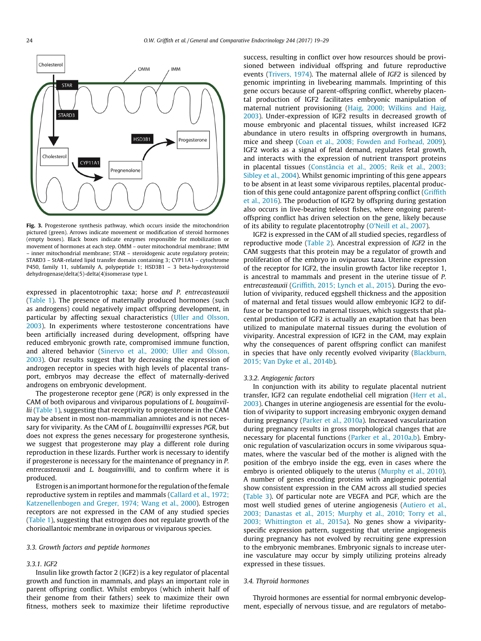<span id="page-5-0"></span>

Fig. 3. Progesterone synthesis pathway, which occurs inside the mitochondrion pictured (green). Arrows indicate movement or modification of steroid hormones (empty boxes). Black boxes indicate enzymes responsible for mobilization or movement of hormones at each step. OMM – outer mitochondrial membrane; IMM – inner mitochondrial membrane; STAR – steroidogenic acute regulatory protein; STARD3 – StAR-related lipid transfer domain containing 3; CYP11A1 – cytochrome P450, family 11, subfamily A, polypeptide 1; HSD3B1 – 3 beta-hydroxysteroid dehydrogenase/delta(5)-delta(4)isomerase type I.

expressed in placentotrophic taxa; horse and P. entrecasteauxii ([Table 1](#page-4-0)). The presence of maternally produced hormones (such as androgens) could negatively impact offspring development, in particular by affecting sexual characteristics [\(Uller and Olsson,](#page-10-0) [2003\)](#page-10-0). In experiments where testosterone concentrations have been artificially increased during development, offspring have reduced embryonic growth rate, compromised immune function, and altered behavior [\(Sinervo et al., 2000; Uller and Olsson,](#page-9-0) [2003\)](#page-9-0). Our results suggest that by decreasing the expression of androgen receptor in species with high levels of placental transport, embryos may decrease the effect of maternally-derived androgens on embryonic development.

The progesterone receptor gene (PGR) is only expressed in the CAM of both oviparous and viviparous populations of L. bougainvillii ([Table 1\)](#page-4-0), suggesting that receptivity to progesterone in the CAM may be absent in most non-mammalian amniotes and is not necessary for viviparity. As the CAM of L. bougainvillii expresses PGR, but does not express the genes necessary for progesterone synthesis, we suggest that progesterone may play a different role during reproduction in these lizards. Further work is necessary to identify if progesterone is necessary for the maintenance of pregnancy in P. entrecasteauxii and L. bougainvillii, and to confirm where it is produced.

Estrogen is an important hormone for the regulation of the female reproductive system in reptiles and mammals ([Callard et al., 1972;](#page-8-0) [Katzenellenbogen and Greger, 1974; Wang et al., 2000\)](#page-8-0). Estrogen receptors are not expressed in the CAM of any studied species ([Table 1](#page-4-0)), suggesting that estrogen does not regulate growth of the chorioallantoic membrane in oviparous or viviparous species.

## 3.3. Growth factors and peptide hormones

# 3.3.1. IGF2

Insulin like growth factor 2 (IGF2) is a key regulator of placental growth and function in mammals, and plays an important role in parent offspring conflict. Whilst embryos (which inherit half of their genome from their fathers) seek to maximize their own fitness, mothers seek to maximize their lifetime reproductive success, resulting in conflict over how resources should be provisioned between individual offspring and future reproductive events ([Trivers, 1974](#page-10-0)). The maternal allele of IGF2 is silenced by genomic imprinting in livebearing mammals. Imprinting of this gene occurs because of parent-offspring conflict, whereby placental production of IGF2 facilitates embryonic manipulation of maternal nutrient provisioning ([Haig, 2000; Wilkins and Haig,](#page-9-0) [2003\)](#page-9-0). Under-expression of IGF2 results in decreased growth of mouse embryonic and placental tissues, whilst increased IGF2 abundance in utero results in offspring overgrowth in humans, mice and sheep ([Coan et al., 2008; Fowden and Forhead, 2009\)](#page-8-0). IGF2 works as a signal of fetal demand, regulates fetal growth, and interacts with the expression of nutrient transport proteins in placental tissues [\(Constância et al., 2005; Reik et al., 2003;](#page-8-0) [Sibley et al., 2004](#page-8-0)). Whilst genomic imprinting of this gene appears to be absent in at least some viviparous reptiles, placental production of this gene could antagonize parent offspring conflict [\(Griffith](#page-9-0) [et al., 2016\)](#page-9-0). The production of IGF2 by offspring during gestation also occurs in live-bearing teleost fishes, where ongoing parentoffspring conflict has driven selection on the gene, likely because of its ability to regulate placentotrophy [\(O'Neill et al., 2007\)](#page-9-0).

IGF2 is expressed in the CAM of all studied species, regardless of reproductive mode ([Table 2](#page-6-0)). Ancestral expression of IGF2 in the CAM suggests that this protein may be a regulator of growth and proliferation of the embryo in oviparous taxa. Uterine expression of the receptor for IGF2, the insulin growth factor like receptor 1, is ancestral to mammals and present in the uterine tissue of P. entrecasteauxii ([Griffith, 2015; Lynch et al., 2015](#page-9-0)). During the evolution of viviparity, reduced eggshell thickness and the apposition of maternal and fetal tissues would allow embryonic IGF2 to diffuse or be transported to maternal tissues, which suggests that placental production of IGF2 is actually an exaptation that has been utilized to manipulate maternal tissues during the evolution of viviparity. Ancestral expression of IGF2 in the CAM, may explain why the consequences of parent offspring conflict can manifest in species that have only recently evolved viviparity ([Blackburn,](#page-8-0) [2015; Van Dyke et al., 2014b](#page-8-0)).

#### 3.3.2. Angiogenic factors

In conjunction with its ability to regulate placental nutrient transfer, IGF2 can regulate endothelial cell migration ([Herr et al.,](#page-9-0) [2003\)](#page-9-0). Changes in uterine angiogenesis are essential for the evolution of viviparity to support increasing embryonic oxygen demand during pregnancy ([Parker et al., 2010a\)](#page-9-0). Increased vascularization during pregnancy results in gross morphological changes that are necessary for placental functions ([Parker et al., 2010a,b](#page-9-0)). Embryonic regulation of vascularization occurs in some viviparous squamates, where the vascular bed of the mother is aligned with the position of the embryo inside the egg, even in cases where the embryo is oriented obliquely to the uterus ([Murphy et al., 2010\)](#page-9-0). A number of genes encoding proteins with angiogenic potential show consistent expression in the CAM across all studied species ([Table 3\)](#page-7-0). Of particular note are VEGFA and PGF, which are the most well studied genes of uterine angiogenesis [\(Autiero et al.,](#page-8-0) [2003; Danastas et al., 2015; Murphy et al., 2010; Torry et al.,](#page-8-0) [2003; Whittington et al., 2015a](#page-8-0)). No genes show a viviparityspecific expression pattern, suggesting that uterine angiogenesis during pregnancy has not evolved by recruiting gene expression to the embryonic membranes. Embryonic signals to increase uterine vasculature may occur by simply utilizing proteins already expressed in these tissues.

# 3.4. Thyroid hormones

Thyroid hormones are essential for normal embryonic development, especially of nervous tissue, and are regulators of metabo-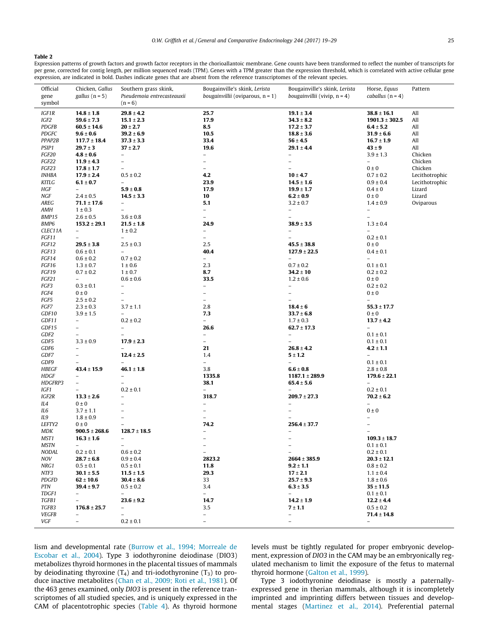#### <span id="page-6-0"></span>Table 2

Expression patterns of growth factors and growth factor receptors in the chorioallantoic membrane. Gene counts have been transformed to reflect the number of transcripts for per gene, corrected for contig length, per million sequenced reads (TPM). Genes with a TPM greater than the expression threshold, which is correlated with active cellular gene expression, are indicated in bold. Dashes indicate genes that are absent from the reference transcriptomes of the relevant species.

| Official<br>gene<br>symbol | Chicken, Gallus<br>$gallus (n = 5)$ | Southern grass skink,<br>Pseudemoia entrecasteauxii<br>$(n = 6)$ | Bougainville's skink, Lerista<br><i>bougainvillii</i> (oviparous, $n = 1$ ) | Bougainville's skink, Lerista<br><i>bougainvillii</i> (vivip, $n = 4$ ) | Horse, Equus<br>caballus $(n = 4)$    | Pattern        |
|----------------------------|-------------------------------------|------------------------------------------------------------------|-----------------------------------------------------------------------------|-------------------------------------------------------------------------|---------------------------------------|----------------|
| IGF1R<br>IGF2              | $14.8 \pm 1.8$<br>$59.6 \pm 7.3$    | $29.8 \pm 4.2$<br>$15.1 \pm 2.3$                                 | 25.7<br>17.9                                                                | $19.1 \pm 3.4$<br>$34.3 \pm 8.2$                                        | $38.8 \pm 16.1$<br>$1901.3 \pm 302.5$ | All<br>All     |
| <b>PDGFB</b>               | $60.5 \pm 14.6$                     | $20 \pm 2.7$                                                     | 8.5                                                                         | $17.2 \pm 3.7$                                                          | $6.4 \pm 5.2$                         | All            |
| <b>PDGFC</b>               | $9.6 \pm 0.6$                       | $39.2 \pm 6.9$                                                   | 10.5                                                                        | $18.8 \pm 3.6$                                                          | $31.9 \pm 6.6$                        | All            |
| PPAP2B                     | $117.7 \pm 18.4$                    | $37.3 \pm 3.3$                                                   | 33.4                                                                        | $56 \pm 4.5$                                                            | $16.7 \pm 1.9$                        | All            |
| PSIP1                      | $29.7 \pm 3$                        | $37 \pm 2.7$                                                     | 19.6                                                                        | $29.1 \pm 4.4$                                                          | $43 \pm 9$                            | All            |
| FGF20                      | $4.8 \pm 0.6$                       | -                                                                | $\equiv$                                                                    | $\qquad \qquad -$                                                       | $3.9 \pm 1.3$                         | Chicken        |
| FGF22                      | $11.9 \pm 4.3$                      | $\overline{\phantom{0}}$                                         | $\qquad \qquad -$                                                           | $\qquad \qquad -$                                                       | $\overline{\phantom{0}}$              | Chicken        |
| FGF23                      | $17.8 \pm 1.7$                      |                                                                  | $\equiv$                                                                    |                                                                         | $0 \pm 0$                             | Chicken        |
| <b>INHBA</b>               | $17.9 \pm 2.4$                      | $0.5 \pm 0.2$                                                    | 4.2                                                                         | $10 \pm 4.7$                                                            | $0.7 \pm 0.2$                         | Lecithotrophic |
| KITLG                      | $6.1 \pm 0.7$                       | $\overline{\phantom{0}}$                                         | 23.9                                                                        | $14.5 \pm 1.6$                                                          | $0.9 \pm 0.4$                         | Lecithotrophic |
| HGF                        | $\qquad \qquad -$                   | $5.9 \pm 0.8$                                                    | 17.9                                                                        | $19.9 \pm 1.7$                                                          | $0.4 \pm 0$                           | Lizard         |
| NGF                        | $2.4 \pm 0.5$                       | $14.5 \pm 3.3$                                                   | 10                                                                          | $6.2\pm0.9$                                                             | $0 \pm 0$                             | Lizard         |
| AREG                       | $71.1 \pm 17.6$                     |                                                                  | 5.1                                                                         | $3.2 \pm 0.7$                                                           | $1.4 \pm 0.9$                         | Oviparous      |
| AMH                        | $1 \pm 0.3$                         | $\overline{\phantom{0}}$                                         | $\overline{\phantom{0}}$                                                    | $\equiv$                                                                | $\overline{\phantom{0}}$              |                |
| BMP15                      | $2.6 \pm 0.5$                       | $3.6 \pm 0.8$                                                    | $\equiv$                                                                    |                                                                         |                                       |                |
| BMP6                       | $153.2 \pm 29.1$                    | $21.5 \pm 1.8$                                                   | 24.9                                                                        | $38.9 \pm 3.5$                                                          | $1.3 \pm 0.4$                         |                |
| CLEC11A                    | $\equiv$                            | $1 \pm 0.2$                                                      | $\equiv$                                                                    | ÷                                                                       | $\overline{\phantom{a}}$              |                |
| FGF11                      | $\qquad \qquad -$                   | Ξ.                                                               | $\overline{\phantom{0}}$                                                    | $\equiv$                                                                | $0.2 \pm 0.1$                         |                |
| FGF12                      | $29.5 \pm 3.8$                      | $2.5 \pm 0.3$                                                    | 2.5                                                                         | $45.5 \pm 38.8$                                                         | $0 \pm 0$                             |                |
| FGF13                      | $0.6 \pm 0.1$                       |                                                                  | 40.4                                                                        | $127.9 \pm 22.5$                                                        | $0.4 \pm 0.1$                         |                |
| FGF14                      | $0.6 \pm 0.2$                       | $0.7 \pm 0.2$                                                    | $\equiv$                                                                    | $\equiv$                                                                | $\equiv$                              |                |
| FGF16                      | $1.3 \pm 0.7$                       | $1 \pm 0.6$                                                      | 2.3                                                                         | $0.7 \pm 0.2$                                                           | $0.1 \pm 0.1$                         |                |
| FGF19                      | $0.7 \pm 0.2$                       | $1 \pm 0.7$                                                      | 8.7                                                                         | $34.2 \pm 10$                                                           | $0.2 \pm 0.2$                         |                |
| FGF21                      | $\overline{\phantom{0}}$            | $0.6 \pm 0.6$                                                    | 33.5                                                                        | $1.2 \pm 0.6$                                                           | $0 \pm 0$                             |                |
| FGF3                       | $0.3 \pm 0.1$                       | -                                                                | $\qquad \qquad -$                                                           | $\qquad \qquad -$                                                       | $0.2 \pm 0.2$                         |                |
| FGF4                       | $0 \pm 0$                           | $\overline{a}$                                                   | $\overline{\phantom{a}}$                                                    | $\overline{\phantom{a}}$                                                | $0\pm0$                               |                |
| FGF5                       | $2.5 \pm 0.2$                       | $\overline{a}$                                                   | $\overline{\phantom{0}}$                                                    | $\overline{\phantom{0}}$                                                |                                       |                |
| FGF7                       | $2.3 \pm 0.3$                       | $3.7 \pm 1.1$                                                    | 2.8                                                                         | $18.4 \pm 6$                                                            | $55.3 \pm 17.7$                       |                |
| GDF10                      | $3.9 \pm 1.5$                       |                                                                  | 7.3                                                                         | $33.7 \pm 6.8$                                                          | $0 \pm 0$                             |                |
| GDF11                      | $\overline{\phantom{0}}$            | $0.2 \pm 0.2$                                                    | $\overline{\phantom{0}}$                                                    | $1.7 \pm 0.3$                                                           | $13.7 \pm 4.2$                        |                |
| GDF15                      | $\qquad \qquad -$                   | $\overline{\phantom{0}}$                                         | 26.6                                                                        | $62.7 \pm 17.3$                                                         | $\overline{\phantom{0}}$              |                |
| GDF2                       | $\overline{\phantom{0}}$            |                                                                  | $\equiv$                                                                    | -                                                                       | $0.1 \pm 0.1$                         |                |
| GDF5                       | $3.3 \pm 0.9$                       | $17.9 \pm 2.3$                                                   | $\equiv$                                                                    | $\overline{\phantom{0}}$                                                | $0.1 \pm 0.1$                         |                |
| GDF6                       | $\qquad \qquad -$                   |                                                                  | 21                                                                          | $26.8 \pm 4.2$                                                          | $4.2 \pm 1.1$                         |                |
| GDF7                       | $\overline{\phantom{0}}$            | $12.4 \pm 2.5$                                                   | 1.4                                                                         | $5 \pm 1.2$                                                             | $\bar{ }$                             |                |
| GDF9                       |                                     |                                                                  | $\qquad \qquad -$                                                           |                                                                         | $0.1 \pm 0.1$                         |                |
| HBEGF                      | $43.4 \pm 15.9$                     | $46.1 \pm 1.8$                                                   | 3.8                                                                         | $6.6 \pm 0.8$                                                           | $2.8 \pm 0.8$                         |                |
| <b>HDGF</b>                | $\qquad \qquad -$                   | $\overline{\phantom{0}}$                                         | 1335.8                                                                      | $1187.1 \pm 289.9$                                                      | $179.6 \pm 22.1$                      |                |
| HDGFRP3                    | $\qquad \qquad -$                   | $\overline{\phantom{0}}$                                         | 38.1                                                                        | $65.4 \pm 5.6$                                                          | $\overline{\phantom{0}}$              |                |
| IGF1                       | -                                   | $0.2 \pm 0.1$                                                    | $\equiv$                                                                    | $\overline{\phantom{a}}$                                                | $0.2 \pm 0.1$                         |                |
| IGF2R                      | $13.3 \pm 2.6$                      | $\overline{\phantom{0}}$                                         | 318.7                                                                       | $209.7 \pm 27.3$                                                        | $70.2 \pm 6.2$                        |                |
| IL4                        | $0 \pm 0$                           | $\overline{\phantom{0}}$                                         | $\overline{\phantom{a}}$                                                    | -                                                                       | ÷                                     |                |
| IL6                        | $3.7 \pm 1.1$                       |                                                                  | $\overline{\phantom{a}}$                                                    |                                                                         | $0 \pm 0$                             |                |
| IL9                        | $1.8 \pm 0.9$                       | $\overline{a}$                                                   | $\qquad \qquad -$                                                           |                                                                         | $\overline{\phantom{0}}$              |                |
| LEFTY2                     | $0 \pm 0$                           | $\overline{a}$                                                   | 74.2                                                                        | $256.4 \pm 37.7$                                                        |                                       |                |
| MDK                        | $900.5 \pm 268.6$                   | $128.7 \pm 18.5$                                                 | $\qquad \qquad -$                                                           | $\qquad \qquad -$                                                       |                                       |                |
| MST1                       | $16.3 \pm 1.6$                      | -                                                                | $\overline{\phantom{a}}$                                                    | $\overline{\phantom{a}}$                                                | $109.3 \pm 18.7$                      |                |
| MSTN                       |                                     |                                                                  |                                                                             |                                                                         | $0.1 \pm 0.1$                         |                |
| NODAL                      | $0.2 \pm 0.1$                       | $0.6 \pm 0.2$                                                    | $ \,$                                                                       |                                                                         | $0.2 \pm 0.1$                         |                |
| NOV                        | $28.7 \pm 6.8$                      | $0.9 \pm 0.4$                                                    | 2823.2                                                                      | $2664 \pm 385.9$                                                        | $20.3 \pm 12.1$                       |                |
| NRG1                       | $0.5 \pm 0.1$                       | $0.5 \pm 0.1$                                                    | 11.8                                                                        | $9.2 \pm 1.1$                                                           | $0.8 \pm 0.2$                         |                |
| NTF3                       | $30.1 \pm 5.5$                      | $11.5 \pm 1.5$                                                   | 29.3                                                                        | $17 \pm 2.1$                                                            | $1.1 \pm 0.4$                         |                |
| PDGFD                      | $62 \pm 10.6$                       | $30.4 \pm 8.6$                                                   | 33                                                                          | $25.7 \pm 9.3$                                                          | $1.8 \pm 0.6$                         |                |
| PTN                        | $39.4 \pm 9.7$                      | $0.5 \pm 0.2$                                                    | 3.4                                                                         | $6.3 \pm 3.5$                                                           | $35 \pm 11.5$                         |                |
| TDGF1                      |                                     |                                                                  | $\overline{\phantom{a}}$                                                    | $\sim$                                                                  | $0.1 \pm 0.1$                         |                |
| TGFB1                      | $\equiv$                            | $23.6 \pm 9.2$                                                   | 14.7                                                                        | $14.2 \pm 1.9$                                                          | $12.2 \pm 4.4$                        |                |
| TGFB3                      | $176.8 \pm 25.7$                    |                                                                  | 3.5                                                                         | $7 \pm 1.1$                                                             | $0.5 \pm 0.2$                         |                |
| <b>VEGFB</b>               | $\equiv$                            |                                                                  | $\equiv$                                                                    | $\equiv$                                                                | $71.4 \pm 14.8$                       |                |
| VGF                        | $\overline{\phantom{0}}$            | $0.2 \pm 0.1$                                                    | $\overline{\phantom{a}}$                                                    | $\overline{\phantom{0}}$                                                | $\overline{\phantom{0}}$              |                |

lism and developmental rate ([Burrow et al., 1994; Morreale de](#page-8-0) [Escobar et al., 2004\)](#page-8-0). Type 3 iodothyronine deiodinase (DIO3) metabolizes thyroid hormones in the placental tissues of mammals by deiodinating thyroxine  $(T_4)$  and tri-iodothyronine  $(T_3)$  to produce inactive metabolites [\(Chan et al., 2009; Roti et al., 1981](#page-8-0)). Of the 463 genes examined, only DIO3 is present in the reference transcriptomes of all studied species, and is uniquely expressed in the CAM of placentotrophic species ([Table 4](#page-7-0)). As thyroid hormone

levels must be tightly regulated for proper embryonic development, expression of DIO3 in the CAM may be an embryonically regulated mechanism to limit the exposure of the fetus to maternal thyroid hormone ([Galton et al., 1999\)](#page-9-0).

Type 3 iodothyronine deiodinase is mostly a paternallyexpressed gene in therian mammals, although it is incompletely imprinted and imprinting differs between tissues and developmental stages ([Martinez et al., 2014\)](#page-9-0). Preferential paternal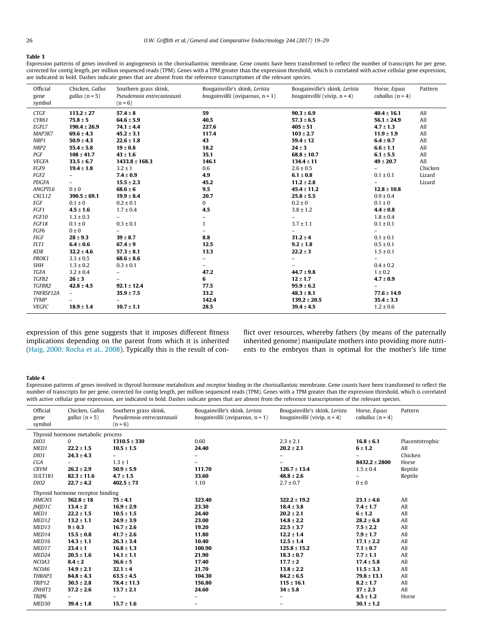#### <span id="page-7-0"></span>Table 3

Expression patterns of genes involved in angiogenesis in the chorioallantoic membrane. Gene counts have been transformed to reflect the number of transcripts for per gene, corrected for contig length, per million sequenced reads (TPM). Genes with a TPM greater than the expression threshold, which is correlated with active cellular gene expression, are indicated in bold. Dashes indicate genes that are absent from the reference transcriptomes of the relevant species.

| Official<br>gene<br>symbol | Chicken, Gallus<br>gallus $(n = 5)$ | Southern grass skink,<br>Pseudemoia entrecasteauxii<br>$(n = 6)$ | Bougainville's skink, Lerista<br><i>bougainvillii</i> (oviparous, $n = 1$ ) | Bougainville's skink, Lerista<br><i>bougainvillii</i> (vivip, $n = 4$ ) | Horse, Equus<br>caballus $(n = 4)$ | Pattern |
|----------------------------|-------------------------------------|------------------------------------------------------------------|-----------------------------------------------------------------------------|-------------------------------------------------------------------------|------------------------------------|---------|
| <b>CTGF</b>                | $113.2 \pm 27$                      | $57.4 \pm 8$                                                     | 59                                                                          | $90.3 \pm 6.9$                                                          | $40.4 \pm 16.1$                    | All     |
| CYR61                      | $75.8 \pm 5$                        | $64.6 \pm 5.9$                                                   | 40.5                                                                        | $57.3 \pm 6.5$                                                          | $56.1 \pm 24.9$                    | All     |
| EGFL7                      | $190.4 \pm 26.9$                    | $74.1 \pm 4.4$                                                   | 227.6                                                                       | $405 \pm 51$                                                            | $4.7 \pm 1.3$                      | All     |
| MAP3K7                     | $69.6 \pm 4.3$                      | $45.2 \pm 3.1$                                                   | 117.4                                                                       | $103 \pm 2.7$                                                           | $11.9 \pm 1.9$                     | All     |
| NRP1                       | $50.9 \pm 4.3$                      | $22.6 \pm 1.8$                                                   | 43                                                                          | $59.4 \pm 12$                                                           | $6.4 \pm 0.7$                      | All     |
| NRP <sub>2</sub>           | $55.4 \pm 5.8$                      | $19 \pm 0.8$                                                     | 18.2                                                                        | $24 \pm 3$                                                              | $6.6 \pm 1.1$                      | All     |
| PGF                        | $108 \pm 41.7$                      | $43 \pm 1.6$                                                     | 35.1                                                                        | $68.8 \pm 10.7$                                                         | $6.1 \pm 5.5$                      | All     |
| <b>VEGFA</b>               | $33.5 \pm 6.7$                      | $1433.8 \pm 168.3$                                               | 146.1                                                                       | $134.4 \pm 11$                                                          | $49 \pm 20.7$                      | All     |
| FGF9                       | $19.4 \pm 1.8$                      | $3.2 \pm 1$                                                      | 0.6                                                                         | $2.6 \pm 0.5$                                                           | $\overline{\phantom{0}}$           | Chicken |
| FGF2                       |                                     | $7.4 \pm 0.9$                                                    | 4.9                                                                         | $6.1 \pm 0.8$                                                           | $0.1 \pm 0.1$                      | Lizard  |
| <b>PDGFA</b>               |                                     | $15.5 \pm 2.3$                                                   | 45.2                                                                        | $11.2 \pm 2.8$                                                          |                                    | Lizard  |
| ANGPTL6                    | $0 \pm 0$                           | $68.6 \pm 6$                                                     | 9.5                                                                         | $45.4 \pm 11.2$                                                         | $12.8 \pm 10.8$                    |         |
| CXCL12                     | $390.5 \pm 69.1$                    | $19.9 \pm 8.4$                                                   | 20.7                                                                        | $25.8 \pm 5.5$                                                          | $0.9 \pm 0.4$                      |         |
| EGF                        | $0.1 \pm 0$                         | $0.2 \pm 0.1$                                                    | $\bf{0}$                                                                    | $0.2 \pm 0$                                                             | $0.1 \pm 0$                        |         |
| FGF1                       | $4.5 \pm 1.6$                       | $1.7 \pm 0.4$                                                    | 4.5                                                                         | $3.8 \pm 1.2$                                                           | $4.4 \pm 0.8$                      |         |
| FGF10                      | $1.3 \pm 0.3$                       |                                                                  |                                                                             |                                                                         | $1.8 \pm 0.4$                      |         |
| FGF18                      | $0.1 \pm 0$                         | $0.3 \pm 0.1$                                                    | $\mathbf{1}$                                                                | $3.7 \pm 1.1$                                                           | $0.1 \pm 0.1$                      |         |
| FGF6                       | $0 \pm 0$                           |                                                                  |                                                                             |                                                                         |                                    |         |
| <b>FIGF</b>                | $28 \pm 9.3$                        | $39 \pm 8.7$                                                     | 8.8                                                                         | $31.2 \pm 4$                                                            | $0.1 \pm 0.1$                      |         |
| FLT1                       | $6.4 \pm 0.6$                       | $67.4 \pm 9$                                                     | 12.5                                                                        | $9.2 \pm 1.8$                                                           | $0.5 \pm 0.1$                      |         |
| <b>KDR</b>                 | $32.2 \pm 4.6$                      | $57.3 \pm 8.1$                                                   | 13.3                                                                        | $22.2 \pm 3$                                                            | $1.5 \pm 0.1$                      |         |
| PROK1                      | $3.3 \pm 0.5$                       | $68.6 \pm 8.6$                                                   |                                                                             |                                                                         |                                    |         |
| <b>SHH</b>                 | $1.3 \pm 0.2$                       | $0.3 \pm 0.1$                                                    |                                                                             |                                                                         | $0.4 \pm 0.2$                      |         |
| <b>TGFA</b>                | $3.2 \pm 0.4$                       |                                                                  | 47.2                                                                        | $44.7 \pm 9.8$                                                          | $1 \pm 0.2$                        |         |
| TGFB2                      | $26 \pm 3$                          |                                                                  | 6                                                                           | $12 \pm 1.7$                                                            | $4.7 \pm 0.9$                      |         |
| TGFBR2                     | $42.8 \pm 4.5$                      | $92.1 \pm 12.4$                                                  | 77.5                                                                        | $95.9 \pm 6.2$                                                          |                                    |         |
| TNFRSF12A                  | $\overline{\phantom{0}}$            | $35.9 \pm 7.5$                                                   | 33.2                                                                        | $48.3 \pm 8.1$                                                          | $77.6 \pm 14.9$                    |         |
| <b>TYMP</b>                |                                     |                                                                  | 142.4                                                                       | $139.2 \pm 20.5$                                                        | $35.4 \pm 3.3$                     |         |
| <b>VEGFC</b>               | $18.9 \pm 1.4$                      | $10.7 \pm 1.1$                                                   | 28.5                                                                        | $39.4 \pm 4.5$                                                          | $1.2 \pm 0.6$                      |         |

expression of this gene suggests that it imposes different fitness implications depending on the parent from which it is inherited ([Haig, 2000; Rocha et al., 2008\)](#page-9-0). Typically this is the result of con-

flict over resources, whereby fathers (by means of the paternally inherited genome) manipulate mothers into providing more nutrients to the embryos than is optimal for the mother's life time

### Table 4

Expression patterns of genes involved in thyroid hormone metabolism and receptor binding in the chorioallantoic membrane. Gene counts have been transformed to reflect the number of transcripts for per gene, corrected for contig length, per million sequenced reads (TPM). Genes with a TPM greater than the expression threshold, which is correlated with active cellular gene expression, are indicated in bold. Dashes indicate genes that are absent from the reference transcriptomes of the relevant species.

| Official<br>gene<br>symbol        | Chicken, Gallus<br>gallus $(n = 5)$ | Southern grass skink,<br>Pseudemoia entrecasteauxii<br>$(n = 6)$ | Bougainville's skink, Lerista<br><i>bougainvillii</i> (oviparous, $n = 1$ ) | Bougainville's skink, Lerista<br><i>bougainvillii</i> (vivip, $n = 4$ ) | Horse, Equus<br>caballus $(n = 4)$ | Pattern         |  |
|-----------------------------------|-------------------------------------|------------------------------------------------------------------|-----------------------------------------------------------------------------|-------------------------------------------------------------------------|------------------------------------|-----------------|--|
| Thyroid hormone metabolic process |                                     |                                                                  |                                                                             |                                                                         |                                    |                 |  |
| DIO <sub>3</sub>                  | $\Omega$                            | $1310.5 \pm 330$                                                 | 0.60                                                                        | $2.3 \pm 2.1$                                                           | $16.8 \pm 6.1$                     | Placentotrophic |  |
| MED1                              | $22.2 \pm 1.5$                      | $10.5 \pm 1.5$                                                   | 24.40                                                                       | $20.2 \pm 2.1$                                                          | $6 \pm 1.2$                        | All             |  |
| DIO1                              | $24.3 \pm 4.3$                      |                                                                  |                                                                             |                                                                         |                                    | Chicken         |  |
| CGA                               |                                     | $1.3 \pm 1$                                                      | $\qquad \qquad -$                                                           |                                                                         | $8432.2 \pm 2800$                  | Horse           |  |
| <b>CRYM</b>                       | $26.2 \pm 2.9$                      | $50.9 \pm 5.9$                                                   | 111.70                                                                      | $126.7 \pm 13.4$                                                        | $1.5 \pm 0.4$                      | Reptile         |  |
| SULT1B1                           | $82.3 \pm 11.6$                     | $4.7 \pm 1.5$                                                    | 33.60                                                                       | $48.8 \pm 2.6$                                                          |                                    | Reptile         |  |
| DIO <sub>2</sub>                  | $22.7 \pm 4.2$                      | $402.5 \pm 73$                                                   | 1.10                                                                        | $2.7 \pm 0.7$                                                           | $0 \pm 0$                          |                 |  |
|                                   | Thyroid hormone receptor binding    |                                                                  |                                                                             |                                                                         |                                    |                 |  |
| HMGN3                             | $562.8 \pm 18$                      | $75 \pm 4.1$                                                     | 323.40                                                                      | $322.2 \pm 19.2$                                                        | $23.1 \pm 4.6$                     | All             |  |
| JMJD1C                            | $13.4 \pm 2$                        | $16.9 \pm 2.9$                                                   | 23.30                                                                       | $18.4 \pm 3.8$                                                          | $7.4 \pm 1.7$                      | All             |  |
| MED1                              | $22.2 \pm 1.5$                      | $10.5 \pm 1.5$                                                   | 24.40                                                                       | $20.2 \pm 2.1$                                                          | $6 \pm 1.2$                        | All             |  |
| MED12                             | $13.2 \pm 1.1$                      | $24.9 \pm 3.9$                                                   | 23.00                                                                       | $14.8 \pm 2.2$                                                          | $28.2 \pm 6.8$                     | All             |  |
| MED13                             | $9 \pm 0.3$                         | $16.7 \pm 2.6$                                                   | 19.20                                                                       | $22.5 \pm 3.7$                                                          | $7.5 \pm 2.2$                      | All             |  |
| MED14                             | $15.5 \pm 0.8$                      | $41.7 \pm 2.6$                                                   | 11.80                                                                       | $12.2 \pm 1.4$                                                          | $7.9 \pm 1.7$                      | All             |  |
| MED16                             | $14.3 \pm 1.1$                      | $26.3 \pm 3.4$                                                   | 10.40                                                                       | $12.5 \pm 1.4$                                                          | $17.1 \pm 2.2$                     | All             |  |
| MED17                             | $23.4 \pm 1$                        | $16.8 \pm 1.3$                                                   | 100.90                                                                      | $125.8 \pm 15.2$                                                        | $7.1 \pm 0.7$                      | All             |  |
| MED24                             | $20.5 \pm 1.6$                      | $14.1 \pm 1.1$                                                   | 21.90                                                                       | $18.3 \pm 0.7$                                                          | $7.7 \pm 1.1$                      | All             |  |
| NCOA3                             | $8.4 \pm 2$                         | $36.6 \pm 5$                                                     | 17.40                                                                       | $17.7 \pm 2$                                                            | $17.4 \pm 5.8$                     | All             |  |
| NCOA6                             | $14.9 \pm 2.1$                      | $32.1 \pm 4$                                                     | 21.70                                                                       | $13.8 \pm 2.2$                                                          | $11.5 \pm 3.3$                     | All             |  |
| THRAP3                            | $84.8 \pm 4.3$                      | $63.5 \pm 4.5$                                                   | 104.30                                                                      | $84.2 \pm 6.5$                                                          | $79.8 \pm 13.1$                    | All             |  |
| TRIP12                            | $30.5 \pm 2.8$                      | $78.4 \pm 11.3$                                                  | 156.80                                                                      | $115 \pm 16.1$                                                          | $8.2 \pm 1.7$                      | All             |  |
| ZNHIT3                            | $57.2 \pm 2.6$                      | $13.7 \pm 2.1$                                                   | 24.60                                                                       | $34 \pm 5.8$                                                            | $37 \pm 2.3$                       | All             |  |
| TRIP6                             |                                     |                                                                  |                                                                             |                                                                         | $4.5 \pm 1.2$                      | Horse           |  |
| MED30                             | $39.4 \pm 1.8$                      | $15.7 \pm 1.6$                                                   |                                                                             |                                                                         | $30.1 \pm 1.2$                     |                 |  |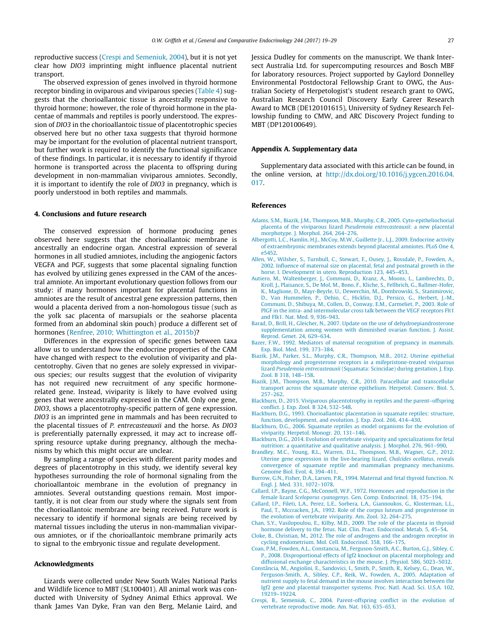<span id="page-8-0"></span>reproductive success (Crespi and Semeniuk, 2004), but it is not yet clear how DIO3 imprinting might influence placental nutrient transport.

The observed expression of genes involved in thyroid hormone receptor binding in oviparous and viviparous species [\(Table 4](#page-7-0)) suggests that the chorioallantoic tissue is ancestrally responsive to thyroid hormone; however, the role of thyroid hormone in the placentae of mammals and reptiles is poorly understood. The expression of DIO3 in the chorioallantoic tissue of placentotrophic species observed here but no other taxa suggests that thyroid hormone may be important for the evolution of placental nutrient transport, but further work is required to identify the functional significance of these findings. In particular, it is necessary to identify if thyroid hormone is transported across the placenta to offspring during development in non-mammalian viviparous amniotes. Secondly, it is important to identify the role of DIO3 in pregnancy, which is poorly understood in both reptiles and mammals.

# 4. Conclusions and future research

The conserved expression of hormone producing genes observed here suggests that the chorioallantoic membrane is ancestrally an endocrine organ. Ancestral expression of several hormones in all studied amniotes, including the angiogenic factors VEGFA and PGF, suggests that some placental signaling function has evolved by utilizing genes expressed in the CAM of the ancestral amniote. An important evolutionary question follows from our study: if many hormones important for placental functions in amniotes are the result of ancestral gene expression patterns, then would a placenta derived from a non-homologous tissue (such as the yolk sac placenta of marsupials or the seahorse placenta formed from an abdominal skin pouch) produce a different set of hormones [\(Renfree, 2010; Whittington et al., 2015b\)](#page-9-0)?

Differences in the expression of specific genes between taxa allow us to understand how the endocrine properties of the CAM have changed with respect to the evolution of viviparity and placentotrophy. Given that no genes are solely expressed in viviparous species; our results suggest that the evolution of viviparity has not required new recruitment of any specific hormonerelated gene. Instead, viviparity is likely to have evolved using genes that were ancestrally expressed in the CAM. Only one gene, DIO3, shows a placentotrophy-specific pattern of gene expression. DIO3 is an imprinted gene in mammals and has been recruited to the placental tissues of P. entrecasteauxii and the horse. As DIO3 is preferentially paternally expressed, it may act to increase offspring resource uptake during pregnancy, although the mechanisms by which this might occur are unclear.

By sampling a range of species with different parity modes and degrees of placentotrophy in this study, we identify several key hypotheses surrounding the role of hormonal signaling from the chorioallantoic membrane in the evolution of pregnancy in amniotes. Several outstanding questions remain. Most importantly, it is not clear from our study where the signals sent from the chorioallantoic membrane are being received. Future work is necessary to identify if hormonal signals are being received by maternal tissues including the uterus in non-mammalian viviparous amniotes, or if the chorioallantoic membrane primarily acts to signal to the embryonic tissue and regulate development.

## Acknowledgments

Lizards were collected under New South Wales National Parks and Wildlife licence to MBT (SL100401). All animal work was conducted with University of Sydney Animal Ethics approval. We thank James Van Dyke, Fran van den Berg, Melanie Laird, and Jessica Dudley for comments on the manuscript. We thank Intersect Australia Ltd. for supercomputing resources and Bosch MBF for laboratory resources. Project supported by Gaylord Donnelley Environmental Postdoctoral Fellowship Grant to OWG, the Australian Society of Herpetologist's student research grant to OWG, Australian Research Council Discovery Early Career Research Award to MCB (DE120101615), University of Sydney Research Fellowship funding to CMW, and ARC Discovery Project funding to MBT (DP120100649).

### Appendix A. Supplementary data

Supplementary data associated with this article can be found, in the online version, at [http://dx.doi.org/10.1016/j.ygcen.2016.04.](http://dx.doi.org/10.1016/j.ygcen.2016.04.017) [017.](http://dx.doi.org/10.1016/j.ygcen.2016.04.017)

#### References

- [Adams, S.M., Biazik, J.M., Thompson, M.B., Murphy, C.R., 2005. Cyto-epitheliochorial](http://refhub.elsevier.com/S0016-6480(16)30090-9/h0005) [placenta of the viviparous lizard](http://refhub.elsevier.com/S0016-6480(16)30090-9/h0005) Pseudemoia entrecasteauxii: a new placental [morphotype. J. Morphol. 264, 264–276.](http://refhub.elsevier.com/S0016-6480(16)30090-9/h0005)
- [Albergotti, L.C., Hamlin, H.J., McCoy, M.W., Guillette Jr., L.J., 2009. Endocrine activity](http://refhub.elsevier.com/S0016-6480(16)30090-9/h0010) [of extraembryonic membranes extends beyond placental amniotes. PLoS One 4,](http://refhub.elsevier.com/S0016-6480(16)30090-9/h0010) [e5452](http://refhub.elsevier.com/S0016-6480(16)30090-9/h0010).
- [Allen, W., Wilsher, S., Turnbull, C., Stewart, F., Ousey, J., Rossdale, P., Fowden, A.,](http://refhub.elsevier.com/S0016-6480(16)30090-9/h0015) [2002. Influence of maternal size on placental, fetal and postnatal growth in the](http://refhub.elsevier.com/S0016-6480(16)30090-9/h0015) [horse. I. Development in utero. Reproduction 123, 445–453.](http://refhub.elsevier.com/S0016-6480(16)30090-9/h0015)
- [Autiero, M., Waltenberger, J., Communi, D., Kranz, A., Moons, L., Lambrechts, D.,](http://refhub.elsevier.com/S0016-6480(16)30090-9/h0020) [Kroll, J., Plaisance, S., De Mol, M., Bono, F., Kliche, S., Fellbrich, G., Ballmer-Hofer,](http://refhub.elsevier.com/S0016-6480(16)30090-9/h0020) [K., Maglione, D., Mayr-Beyrle, U., Dewerchin, M., Dombrowski, S., Stanimirovic,](http://refhub.elsevier.com/S0016-6480(16)30090-9/h0020) [D., Van Hummelen, P., Dehio, C., Hicklin, D.J., Persico, G., Herbert, J.-M.,](http://refhub.elsevier.com/S0016-6480(16)30090-9/h0020) [Communi, D., Shibuya, M., Collen, D., Conway, E.M., Carmeliet, P., 2003. Role of](http://refhub.elsevier.com/S0016-6480(16)30090-9/h0020) [PlGF in the intra- and intermolecular cross talk between the VEGF receptors Flt1](http://refhub.elsevier.com/S0016-6480(16)30090-9/h0020) [and Flk1. Nat. Med. 9, 936–943.](http://refhub.elsevier.com/S0016-6480(16)30090-9/h0020)
- [Barad, D., Brill, H., Gleicher, N., 2007. Update on the use of dehydroepiandrosterone](http://refhub.elsevier.com/S0016-6480(16)30090-9/h0025) [supplementation among women with diminished ovarian function. J. Assist.](http://refhub.elsevier.com/S0016-6480(16)30090-9/h0025) [Reprod. Genet. 24, 629–634](http://refhub.elsevier.com/S0016-6480(16)30090-9/h0025).
- [Bazer, F.W., 1992. Mediators of maternal recognition of pregnancy in mammals.](http://refhub.elsevier.com/S0016-6480(16)30090-9/h0030) [Exp. Biol. Med. 199, 373–384.](http://refhub.elsevier.com/S0016-6480(16)30090-9/h0030)
- [Biazik, J.M., Parker, S.L., Murphy, C.R., Thompson, M.B., 2012. Uterine epithelial](http://refhub.elsevier.com/S0016-6480(16)30090-9/h0035) [morphology and progesterone receptors in a mifepristone-treated viviparous](http://refhub.elsevier.com/S0016-6480(16)30090-9/h0035) lizard Pseudemoia entrecasteauxii [\(Squamata: Scincidae\) during gestation. J. Exp.](http://refhub.elsevier.com/S0016-6480(16)30090-9/h0035) [Zool. B 318, 148–158](http://refhub.elsevier.com/S0016-6480(16)30090-9/h0035).
- [Biazik, J.M., Thompson, M.B., Murphy, C.R., 2010. Paracellular and transcellular](http://refhub.elsevier.com/S0016-6480(16)30090-9/h0040) [transport across the squamate uterine epithelium. Herpetol. Conserv. Biol. 5,](http://refhub.elsevier.com/S0016-6480(16)30090-9/h0040) [257–262](http://refhub.elsevier.com/S0016-6480(16)30090-9/h0040).
- [Blackburn, D., 2015. Viviparous placentotrophy in reptiles and the parent–offspring](http://refhub.elsevier.com/S0016-6480(16)30090-9/h0045) [conflict. J. Exp. Zool. B 324, 532–548.](http://refhub.elsevier.com/S0016-6480(16)30090-9/h0045)
- [Blackburn, D.G., 1993. Chorioallantoic placentation in squamate reptiles: structure,](http://refhub.elsevier.com/S0016-6480(16)30090-9/h0050) [function, development, and evolution. J. Exp. Zool. 266, 414–430](http://refhub.elsevier.com/S0016-6480(16)30090-9/h0050).
- [Blackburn, D.G., 2006. Squamate reptiles as model organisms for the evolution of](http://refhub.elsevier.com/S0016-6480(16)30090-9/h0055) [viviparity. Herpetol. Monogr. 20, 131–146.](http://refhub.elsevier.com/S0016-6480(16)30090-9/h0055)
- [Blackburn, D.G., 2014. Evolution of vertebrate viviparity and specializations for fetal](http://refhub.elsevier.com/S0016-6480(16)30090-9/h0060) [nutrition: a quantitative and qualitative analysis. J. Morphol. 276, 961–990](http://refhub.elsevier.com/S0016-6480(16)30090-9/h0060).
- [Brandley, M.C., Young, R.L., Warren, D.L., Thompson, M.B., Wagner, G.P., 2012.](http://refhub.elsevier.com/S0016-6480(16)30090-9/h0065) [Uterine gene expression in the live-bearing lizard,](http://refhub.elsevier.com/S0016-6480(16)30090-9/h0065) Chalcides ocellatus, reveals [convergence of squamate reptile and mammalian pregnancy mechanisms.](http://refhub.elsevier.com/S0016-6480(16)30090-9/h0065) [Genome Biol. Evol. 4, 394–411.](http://refhub.elsevier.com/S0016-6480(16)30090-9/h0065)
- [Burrow, G.N., Fisher, D.A., Larsen, P.R., 1994. Maternal and fetal thyroid function. N.](http://refhub.elsevier.com/S0016-6480(16)30090-9/h0070) [Engl. J. Med. 331, 1072–1078](http://refhub.elsevier.com/S0016-6480(16)30090-9/h0070).
- [Callard, I.P., Bayne, C.G., McConnell, W.F., 1972. Hormones and reproduction in the](http://refhub.elsevier.com/S0016-6480(16)30090-9/h0075) female lizard Sceloporus cyanogenys[. Gen. Comp. Endocrinol. 18, 175–194](http://refhub.elsevier.com/S0016-6480(16)30090-9/h0075).
- [Callard, I.P., Fileti, L.A., Perez, L.E., Sorbera, L.A., Giannoukos, G., Klosterman, L.L.,](http://refhub.elsevier.com/S0016-6480(16)30090-9/h0080) [Paul, T., Mccracken, J.A., 1992. Role of the corpus luteum and progesterone in](http://refhub.elsevier.com/S0016-6480(16)30090-9/h0080) [the evolution of vertebrate viviparity. Am. Zool. 32, 264–275.](http://refhub.elsevier.com/S0016-6480(16)30090-9/h0080)
- [Chan, S.Y., Vasilopoulou, E., Kilby, M.D., 2009. The role of the placenta in thyroid](http://refhub.elsevier.com/S0016-6480(16)30090-9/h0085) [hormone delivery to the fetus. Nat. Clin. Pract. Endocrinol. Metab. 5, 45–54](http://refhub.elsevier.com/S0016-6480(16)30090-9/h0085).
- [Cloke, B., Christian, M., 2012. The role of androgens and the androgen receptor in](http://refhub.elsevier.com/S0016-6480(16)30090-9/h0090) [cycling endometrium. Mol. Cell. Endocrinol. 358, 166–175.](http://refhub.elsevier.com/S0016-6480(16)30090-9/h0090)
- [Coan, P.M., Fowden, A.L., Constancia, M., Ferguson-Smith, A.C., Burton, G.J., Sibley, C.](http://refhub.elsevier.com/S0016-6480(16)30090-9/h0095) [P., 2008. Disproportional effects of Igf2 knockout on placental morphology and](http://refhub.elsevier.com/S0016-6480(16)30090-9/h0095) [diffusional exchange characteristics in the mouse. J. Physiol. 586, 5023–5032](http://refhub.elsevier.com/S0016-6480(16)30090-9/h0095).
- [Constância, M., Angiolini, E., Sandovici, I., Smith, P., Smith, R., Kelsey, G., Dean, W.,](http://refhub.elsevier.com/S0016-6480(16)30090-9/h0100) [Ferguson-Smith, A., Sibley, C.P., Reik, W., Fowden, A., 2005. Adaptation of](http://refhub.elsevier.com/S0016-6480(16)30090-9/h0100) [nutrient supply to fetal demand in the mouse involves interaction between the](http://refhub.elsevier.com/S0016-6480(16)30090-9/h0100) [Igf2 gene and placental transporter systems. Proc. Natl. Acad. Sci. U.S.A. 102,](http://refhub.elsevier.com/S0016-6480(16)30090-9/h0100) [19219–19224](http://refhub.elsevier.com/S0016-6480(16)30090-9/h0100).
- [Crespi, B., Semeniuk, C., 2004. Parent-offspring conflict in the evolution of](http://refhub.elsevier.com/S0016-6480(16)30090-9/h0105) [vertebrate reproductive mode. Am. Nat. 163, 635–653.](http://refhub.elsevier.com/S0016-6480(16)30090-9/h0105)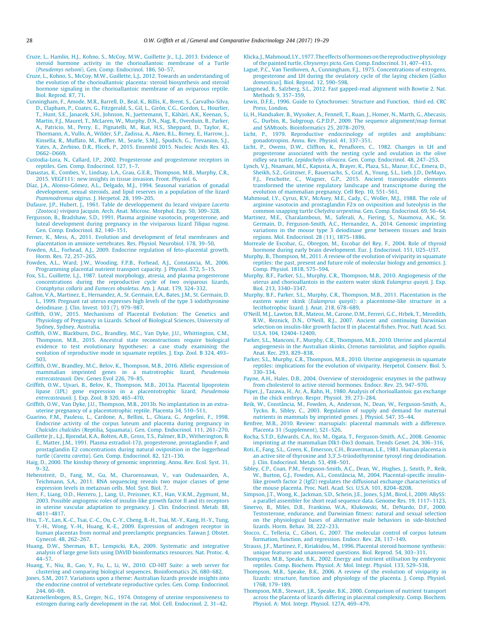- <span id="page-9-0"></span>[Cruze, L., Hamlin, H.J., Kohno, S., McCoy, M.W., Guillette Jr., L.J., 2013. Evidence of](http://refhub.elsevier.com/S0016-6480(16)30090-9/h0110) [steroid hormone activity in the chorioallantoic membrane of a Turtle](http://refhub.elsevier.com/S0016-6480(16)30090-9/h0110) (Pseudemys nelsoni[\). Gen. Comp. Endocrinol. 186, 50–57.](http://refhub.elsevier.com/S0016-6480(16)30090-9/h0110)
- [Cruze, L., Kohno, S., McCoy, M.W., Guillette, L.J., 2012. Towards an understanding of](http://refhub.elsevier.com/S0016-6480(16)30090-9/h0115) [the evolution of the chorioallantoic placenta: steroid biosynthesis and steroid](http://refhub.elsevier.com/S0016-6480(16)30090-9/h0115) [hormone signaling in the chorioallantoic membrane of an oviparous reptile.](http://refhub.elsevier.com/S0016-6480(16)30090-9/h0115) [Biol. Reprod. 87, 71](http://refhub.elsevier.com/S0016-6480(16)30090-9/h0115).
- [Cunningham, F., Amode, M.R., Barrell, D., Beal, K., Billis, K., Brent, S., Carvalho-Silva,](http://refhub.elsevier.com/S0016-6480(16)30090-9/h0120) [D., Clapham, P., Coates, G., Fitzgerald, S., Gil, L., Girón, C.G., Gordon, L., Hourlier,](http://refhub.elsevier.com/S0016-6480(16)30090-9/h0120) [T., Hunt, S.E., Janacek, S.H., Johnson, N., Juettemann, T., Kähäri, A.K., Keenan, S.,](http://refhub.elsevier.com/S0016-6480(16)30090-9/h0120) [Martin, F.J., Maurel, T., McLaren, W., Murphy, D.N., Nag, R., Overduin, B., Parker,](http://refhub.elsevier.com/S0016-6480(16)30090-9/h0120) [A., Patricio, M., Perry, E., Pignatelli, M., Riat, H.S., Sheppard, D., Taylor, K.,](http://refhub.elsevier.com/S0016-6480(16)30090-9/h0120) [Thormann, A., Vullo, A., Wilder, S.P., Zadissa, A., Aken, B.L., Birney, E., Harrow, J.,](http://refhub.elsevier.com/S0016-6480(16)30090-9/h0120) [Kinsella, R., Muffato, M., Ruffier, M., Searle, S.M.J., Spudich, G., Trevanion, S.J.,](http://refhub.elsevier.com/S0016-6480(16)30090-9/h0120) [Yates, A., Zerbino, D.R., Flicek, P., 2015. Ensembl 2015. Nucleic Acids Res. 43,](http://refhub.elsevier.com/S0016-6480(16)30090-9/h0120) [D662–D669.](http://refhub.elsevier.com/S0016-6480(16)30090-9/h0120)
- [Custodia-Lora, N., Callard, I.P., 2002. Progesterone and progesterone receptors in](http://refhub.elsevier.com/S0016-6480(16)30090-9/h0125) reptiles. Gen. Comp. Endocrinol. 127, 1-7
- [Danastas, K., Combes, V., Lindsay, L.A., Grau, G.E.R., Thompson, M.B., Murphy, C.R.,](http://refhub.elsevier.com/S0016-6480(16)30090-9/h0130) [2015. VEGF111: new insights in tissue invasion. Front. Physiol. 6](http://refhub.elsevier.com/S0016-6480(16)30090-9/h0130).
- [Díaz, J.A., Alonso-Gómez, A.L., Delgado, M.J., 1994. Seasonal variation of gonadal](http://refhub.elsevier.com/S0016-6480(16)30090-9/h0135) [development, sexual steroids, and lipid reserves in a population of the lizard](http://refhub.elsevier.com/S0016-6480(16)30090-9/h0135) Psammodromus algirus[. J. Herpetol. 28, 199–205.](http://refhub.elsevier.com/S0016-6480(16)30090-9/h0135)
- [Dufaure, J.P., Hubert, J., 1961. Table de developpement du lezard vivipare](http://refhub.elsevier.com/S0016-6480(16)30090-9/h0140) Lacerta (Zootoca) vivipara [Jacquin. Arch. Anat. Microsc. Morphol. Exp. 50, 309–328](http://refhub.elsevier.com/S0016-6480(16)30090-9/h0140).
- [Fergusson, B., Bradshaw, S.D., 1991. Plasma arginine vasotocin, progesterone, and](http://refhub.elsevier.com/S0016-6480(16)30090-9/h0145) [luteal development during pregnancy in the viviparous lizard](http://refhub.elsevier.com/S0016-6480(16)30090-9/h0145) Tiliqua rugosa. [Gen. Comp. Endocrinol. 82, 140–151.](http://refhub.elsevier.com/S0016-6480(16)30090-9/h0145)
- [Ferner, K., Mess, A., 2011. Evolution and development of fetal membranes and](http://refhub.elsevier.com/S0016-6480(16)30090-9/h0150) [placentation in amniote vertebrates. Res. Physiol. Neurobiol. 178, 39–50.](http://refhub.elsevier.com/S0016-6480(16)30090-9/h0150)
- [Fowden, A.L., Forhead, A.J., 2009. Endocrine regulation of feto-placental growth.](http://refhub.elsevier.com/S0016-6480(16)30090-9/h0155) [Horm. Res. 72, 257–265.](http://refhub.elsevier.com/S0016-6480(16)30090-9/h0155)
- [Fowden, A.L., Ward, J.W., Wooding, F.P.B., Forhead, A.J., Constancia, M., 2006.](http://refhub.elsevier.com/S0016-6480(16)30090-9/h0160) [Programming placental nutrient transport capacity. J. Physiol. 572, 5–15](http://refhub.elsevier.com/S0016-6480(16)30090-9/h0160).
- [Fox, S.L., Guillette, L.J., 1987. Luteal morphology, atresia, and plasma progesterone](http://refhub.elsevier.com/S0016-6480(16)30090-9/h0165) [concentrations during the reproductive cycle of two oviparous lizards,](http://refhub.elsevier.com/S0016-6480(16)30090-9/h0165) Crotaphytus collaris and Eumeces obsoletus[. Am. J. Anat. 179, 324–332.](http://refhub.elsevier.com/S0016-6480(16)30090-9/h0165)
- [Galton, V.A., Martinez, E., Hernandez, A., St. Germain, E.A., Bates, J.M., St. Germain, D.](http://refhub.elsevier.com/S0016-6480(16)30090-9/h0170) [L., 1999. Pregnant rat uterus expresses high levels of the type 3 iodothyronine](http://refhub.elsevier.com/S0016-6480(16)30090-9/h0170) [deiodinase. J. Clin. Invest. 103 \(7\), 979–987.](http://refhub.elsevier.com/S0016-6480(16)30090-9/h0170)
- [Griffith, O.W., 2015. Mechanisms of Placental Evolution: The Genetics and](http://refhub.elsevier.com/S0016-6480(16)30090-9/h0175) [Physiology of Pregnancy in Lizards. School of Biological Sciences, University of](http://refhub.elsevier.com/S0016-6480(16)30090-9/h0175) [Sydney, Sydney, Australia.](http://refhub.elsevier.com/S0016-6480(16)30090-9/h0175)
- [Griffith, O.W., Blackburn, D.G., Brandley, M.C., Van Dyke, J.U., Whittington, C.M.,](http://refhub.elsevier.com/S0016-6480(16)30090-9/h0180) [Thompson, M.B., 2015. Ancestral state reconstructions require biological](http://refhub.elsevier.com/S0016-6480(16)30090-9/h0180) [evidence to test evolutionary hypotheses: a case study examining the](http://refhub.elsevier.com/S0016-6480(16)30090-9/h0180) [evolution of reproductive mode in squamate reptiles. J. Exp. Zool. B 324, 493–](http://refhub.elsevier.com/S0016-6480(16)30090-9/h0180) [503](http://refhub.elsevier.com/S0016-6480(16)30090-9/h0180).
- [Griffith, O.W., Brandley, M.C., Belov, K., Thompson, M.B., 2016. Allelic expression of](http://refhub.elsevier.com/S0016-6480(16)30090-9/h0185) [mammalian imprinted genes in a matrotrophic lizard,](http://refhub.elsevier.com/S0016-6480(16)30090-9/h0185) Pseudemoia entrecasteauxii[. Dev. Genes Evol 226, 79–85.](http://refhub.elsevier.com/S0016-6480(16)30090-9/h0185)
- [Griffith, O.W., Ujvari, B., Belov, K., Thompson, M.B., 2013a. Placental lipoprotein](http://refhub.elsevier.com/S0016-6480(16)30090-9/h0190) [lipase \(LPL\) gene expression in a placentotrophic lizard,](http://refhub.elsevier.com/S0016-6480(16)30090-9/h0190) Pseudemoia entrecasteauxii[. J. Exp. Zool. B 320, 465–470.](http://refhub.elsevier.com/S0016-6480(16)30090-9/h0190)
- [Griffith, O.W., Van Dyke, J.U., Thompson, M.B., 2013b. No implantation in an extra](http://refhub.elsevier.com/S0016-6480(16)30090-9/h0195)[uterine pregnancy of a placentotrophic reptile. Placenta 34, 510–511.](http://refhub.elsevier.com/S0016-6480(16)30090-9/h0195)
- [Guarino, F.M., Paulesu, L., Cardone, A., Bellini, L., Ghiara, G., Angelini, F., 1998.](http://refhub.elsevier.com/S0016-6480(16)30090-9/h0200) [Endocrine activity of the corpus luteum and placenta during pregnancy in](http://refhub.elsevier.com/S0016-6480(16)30090-9/h0200) Chalcides chalcides [\(Reptilia, Squamata\). Gen. Comp. Endocrinol. 111, 261–270.](http://refhub.elsevier.com/S0016-6480(16)30090-9/h0200)
- [Guillette Jr., L.J., Bjorndal, K.A., Bolten, A.B., Gross, T.S., Palmer, B.D., Witherington, B.](http://refhub.elsevier.com/S0016-6480(16)30090-9/h0205) [E., Matter, J.M., 1991. Plasma estradiol-17](http://refhub.elsevier.com/S0016-6480(16)30090-9/h0205)b, progesterone, prostaglandin F, and [prostaglandin E2 concentrations during natural oviposition in the loggerhead](http://refhub.elsevier.com/S0016-6480(16)30090-9/h0205) turtle (Caretta caretta[\). Gen. Comp. Endocrinol. 82, 121–130.](http://refhub.elsevier.com/S0016-6480(16)30090-9/h0205)
- [Haig, D., 2000. The kinship theory of genomic imprinting. Annu. Rev. Ecol. Syst. 31,](http://refhub.elsevier.com/S0016-6480(16)30090-9/h0210) [9–32.](http://refhub.elsevier.com/S0016-6480(16)30090-9/h0210)
- [Hebenstreit, D., Fang, M., Gu, M., Charoensawan, V., van Oudenaarden, A.,](http://refhub.elsevier.com/S0016-6480(16)30090-9/h0215) [Teichmann, S.A., 2011. RNA sequencing reveals two major classes of gene](http://refhub.elsevier.com/S0016-6480(16)30090-9/h0215) [expression levels in metazoan cells. Mol. Syst. Biol. 7](http://refhub.elsevier.com/S0016-6480(16)30090-9/h0215).
- [Herr, F., Liang, O.D., Herrero, J., Lang, U., Preissner, K.T., Han, V.K.M., Zygmunt, M.,](http://refhub.elsevier.com/S0016-6480(16)30090-9/h0220) [2003. Possible angiogenic roles of insulin-like growth factor II and its receptors](http://refhub.elsevier.com/S0016-6480(16)30090-9/h0220) [in uterine vascular adaptation to pregnancy. J. Clin. Endocrinol. Metab. 88,](http://refhub.elsevier.com/S0016-6480(16)30090-9/h0220) [4811–4817](http://refhub.elsevier.com/S0016-6480(16)30090-9/h0220).
- [Hsu, T.-Y., Lan, K.-C., Tsai, C.-C., Ou, C.-Y., Cheng, B.-H., Tsai, M.-Y., Kang, H.-Y., Tung,](http://refhub.elsevier.com/S0016-6480(16)30090-9/h0225) [Y.-H., Wong, Y.-H., Huang, K.-E., 2009. Expression of androgen receptor in](http://refhub.elsevier.com/S0016-6480(16)30090-9/h0225) [human placentas from normal and preeclamptic pregnancies. Taiwan J. Obstet.](http://refhub.elsevier.com/S0016-6480(16)30090-9/h0225) [Gynecol. 48, 262–267.](http://refhub.elsevier.com/S0016-6480(16)30090-9/h0225)
- [Huang, D.W., Sherman, B.T., Lempicki, R.A., 2009. Systematic and integrative](http://refhub.elsevier.com/S0016-6480(16)30090-9/h0230) [analysis of large gene lists using DAVID bioinformatics resources. Nat. Protoc. 4,](http://refhub.elsevier.com/S0016-6480(16)30090-9/h0230) [44–57.](http://refhub.elsevier.com/S0016-6480(16)30090-9/h0230)
- [Huang, Y., Niu, B., Gao, Y., Fu, L., Li, W., 2010. CD-HIT Suite: a web server for](http://refhub.elsevier.com/S0016-6480(16)30090-9/h0235) [clustering and comparing biological sequences. Bioinformatics 26, 680–682.](http://refhub.elsevier.com/S0016-6480(16)30090-9/h0235)
- [Jones, S.M., 2017. Variations upon a theme: Australian lizards provide insights into](http://refhub.elsevier.com/S0016-6480(16)30090-9/h0240) [the endocrine control of vertebrate reproductive cycles. Gen. Comp. Endocrinol.](http://refhub.elsevier.com/S0016-6480(16)30090-9/h0240) [244, 60–69.](http://refhub.elsevier.com/S0016-6480(16)30090-9/h0240)
- [Katzenellenbogen, B.S., Greger, N.G., 1974. Ontogeny of uterine responsiveness to](http://refhub.elsevier.com/S0016-6480(16)30090-9/h0245) [estrogen during early development in the rat. Mol. Cell. Endocrinol. 2, 31–42](http://refhub.elsevier.com/S0016-6480(16)30090-9/h0245).
- [Klicka, J.,Mahmoud, I.Y., 1977. The effects of hormones on the reproductive physiology](http://refhub.elsevier.com/S0016-6480(16)30090-9/h0250) of the painted turtle, Chrysemys picta[. Gen. Comp. Endocrinol. 31, 407–413](http://refhub.elsevier.com/S0016-6480(16)30090-9/h0250).
- [Laguë, P.C., Van Tienhoven, A., Cunningham, F.J., 1975. Concentrations of estrogens,](http://refhub.elsevier.com/S0016-6480(16)30090-9/h0255) [progesterone and LH during the ovulatory cycle of the laying chicken \[](http://refhub.elsevier.com/S0016-6480(16)30090-9/h0255)Gallus domesticus[\]. Biol. Reprod. 12, 590–598](http://refhub.elsevier.com/S0016-6480(16)30090-9/h0255).
- [Langmead, B., Salzberg, S.L., 2012. Fast gapped-read alignment with Bowtie 2. Nat.](http://refhub.elsevier.com/S0016-6480(16)30090-9/h0260) [Methods 9, 357–359](http://refhub.elsevier.com/S0016-6480(16)30090-9/h0260).
- [Lewis, D.F.E., 1996. Guide to Cytochromes: Structure and Function, third ed. CRC](http://refhub.elsevier.com/S0016-6480(16)30090-9/h0265) [Press, London](http://refhub.elsevier.com/S0016-6480(16)30090-9/h0265).
- [Li, H., Handsaker, B., Wysoker, A., Fennell, T., Ruan, J., Homer, N., Marth, G., Abecasis,](http://refhub.elsevier.com/S0016-6480(16)30090-9/h0270) [G., Durbin, R., Subgroup, G.P.D.P., 2009. The sequence alignment/map format](http://refhub.elsevier.com/S0016-6480(16)30090-9/h0270) [and SAMtools. Bioinformatics 25, 2078–2079.](http://refhub.elsevier.com/S0016-6480(16)30090-9/h0270)
- [Licht, P., 1979. Reproductive endocrinology of reptiles and amphibians:](http://refhub.elsevier.com/S0016-6480(16)30090-9/h0275) [gonadotropins. Annu. Rev. Physiol. 41, 337–351](http://refhub.elsevier.com/S0016-6480(16)30090-9/h0275).
- [Licht, P., Owens, D.W., Cliffton, K., Penaflores, C., 1982. Changes in LH and](http://refhub.elsevier.com/S0016-6480(16)30090-9/h0280) [progesterone associated with the nesting cycle and ovulation in the olive](http://refhub.elsevier.com/S0016-6480(16)30090-9/h0280) ridley sea turtle, Lepidochelys olivacea[. Gen. Comp. Endocrinol. 48, 247–253.](http://refhub.elsevier.com/S0016-6480(16)30090-9/h0280)
- [Lynch, V.J., Nnamani, M.C., Kapusta, A., Brayer, K., Plaza, S.L., Mazur, E.C., Emera, D.,](http://refhub.elsevier.com/S0016-6480(16)30090-9/h0285) [Sheikh, S.Z., Grützner, F., Bauersachs, S., Graf, A., Young, S.L., Lieb, J.D., DeMayo,](http://refhub.elsevier.com/S0016-6480(16)30090-9/h0285) [F.J., Feschotte, C., Wagner, G.P., 2015. Ancient transposable elements](http://refhub.elsevier.com/S0016-6480(16)30090-9/h0285) [transformed the uterine regulatory landscape and transcriptome during the](http://refhub.elsevier.com/S0016-6480(16)30090-9/h0285) [evolution of mammalian pregnancy. Cell Rep. 10, 551–561](http://refhub.elsevier.com/S0016-6480(16)30090-9/h0285).
- [Mahmoud, I.Y., Cyrus, R.V., McAsey, M.E., Cady, C., Woller, M.J., 1988. The role of](http://refhub.elsevier.com/S0016-6480(16)30090-9/h0290) arginine vasotocin and prostaglandin  $F2\alpha$  on oviposition and luteolysis in the common snapping turtle Chelydra serpentina[. Gen. Comp. Endocrinol. 69, 56–64](http://refhub.elsevier.com/S0016-6480(16)30090-9/h0290).
- [Martinez, M.E., Charalambous, M., Saferali, A., Fiering, S., Naumova, A.K., St.](http://refhub.elsevier.com/S0016-6480(16)30090-9/h0295) [Germain, D., Ferguson-Smith, A.C., Hernandez, A., 2014. Genomic imprinting](http://refhub.elsevier.com/S0016-6480(16)30090-9/h0295) [variations in the mouse type 3 deiodinase gene between tissues and brain](http://refhub.elsevier.com/S0016-6480(16)30090-9/h0295) [regions. Mol. Endocrinol. 28 \(11\), 1875–1886.](http://refhub.elsevier.com/S0016-6480(16)30090-9/h0295)
- [Morreale de Escobar, G., Obregon, M., Escobar del Rey, F., 2004. Role of thyroid](http://refhub.elsevier.com/S0016-6480(16)30090-9/h0300) [hormone during early brain development. Eur. J. Endocrinol. 151, U25–U37](http://refhub.elsevier.com/S0016-6480(16)30090-9/h0300).
- [Murphy, B., Thompson, M., 2011. A review of the evolution of viviparity in squamate](http://refhub.elsevier.com/S0016-6480(16)30090-9/h0305) [reptiles: the past, present and future role of molecular biology and genomics. J.](http://refhub.elsevier.com/S0016-6480(16)30090-9/h0305) [Comp. Physiol. 181B, 575–594](http://refhub.elsevier.com/S0016-6480(16)30090-9/h0305).
- [Murphy, B.F., Parker, S.L., Murphy, C.R., Thompson, M.B., 2010. Angiogenesis of the](http://refhub.elsevier.com/S0016-6480(16)30090-9/h0310) [uterus and chorioallantois in the eastern water skink](http://refhub.elsevier.com/S0016-6480(16)30090-9/h0310) Eulamprus quoyii. J. Exp. [Biol. 213, 3340–3347](http://refhub.elsevier.com/S0016-6480(16)30090-9/h0310).
- [Murphy, B.F., Parker, S.L., Murphy, C.R., Thompson, M.B., 2011. Placentation in the](http://refhub.elsevier.com/S0016-6480(16)30090-9/h0315) eastern water skink (Eulamprus quoyii[\): a placentome-like structure in a](http://refhub.elsevier.com/S0016-6480(16)30090-9/h0315) [lecithotrophic lizard. J. Anat. 218, 678–689](http://refhub.elsevier.com/S0016-6480(16)30090-9/h0315).
- [O'Neill, M.J., Lawton, B.R., Mateos, M., Carone, D.M., Ferreri, G.C., Hrbek, T., Meredith,](http://refhub.elsevier.com/S0016-6480(16)30090-9/h0320) [R.W., Reznick, D.N., O'Neill, R.J., 2007. Ancient and continuing Darwinian](http://refhub.elsevier.com/S0016-6480(16)30090-9/h0320) [selection on insulin-like growth factor II in placental fishes. Proc. Natl. Acad. Sci.](http://refhub.elsevier.com/S0016-6480(16)30090-9/h0320) [U.S.A. 104, 12404–12409.](http://refhub.elsevier.com/S0016-6480(16)30090-9/h0320)
- [Parker, S.L., Manconi, F., Murphy, C.R., Thompson, M.B., 2010. Uterine and placental](http://refhub.elsevier.com/S0016-6480(16)30090-9/h0325) [angiogenesis in the Australian skinks,](http://refhub.elsevier.com/S0016-6480(16)30090-9/h0325) Ctenotus taeniolatus, and Saiphos equalis. [Anat. Rec. 293, 829–838](http://refhub.elsevier.com/S0016-6480(16)30090-9/h0325).
- [Parker, S.L., Murphy, C.R., Thompson, M.B., 2010. Uterine angiogenesis in squamate](http://refhub.elsevier.com/S0016-6480(16)30090-9/h0330) [reptiles: implications for the evolution of viviparity. Herpetol. Conserv. Biol. 5,](http://refhub.elsevier.com/S0016-6480(16)30090-9/h0330) [330–334](http://refhub.elsevier.com/S0016-6480(16)30090-9/h0330).
- [Payne, A.H., Hales, D.B., 2004. Overview of steroidogenic enzymes in the pathway](http://refhub.elsevier.com/S0016-6480(16)30090-9/h0335) [from cholesterol to active steroid hormones. Endocr. Rev. 25, 947–970](http://refhub.elsevier.com/S0016-6480(16)30090-9/h0335).
- [Piiper, J., Tazawa, H., Ar, A., Rahn, H., 1980. Analysis of chorioallantoic gas exchange](http://refhub.elsevier.com/S0016-6480(16)30090-9/h0340) [in the chick embryo. Respir. Physiol. 39, 273–284.](http://refhub.elsevier.com/S0016-6480(16)30090-9/h0340)
- [Reik, W., Constância, M., Fowden, A., Anderson, N., Dean, W., Ferguson-Smith, A.,](http://refhub.elsevier.com/S0016-6480(16)30090-9/h0345) [Tycko, B., Sibley, C., 2003. Regulation of supply and demand for maternal](http://refhub.elsevier.com/S0016-6480(16)30090-9/h0345) [nutrients in mammals by imprinted genes. J. Physiol. 547, 35–44.](http://refhub.elsevier.com/S0016-6480(16)30090-9/h0345)
- [Renfree, M.B., 2010. Review: marsupials: placental mammals with a difference.](http://refhub.elsevier.com/S0016-6480(16)30090-9/h0350) [Placenta 31 \(Supplement\), S21–S26.](http://refhub.elsevier.com/S0016-6480(16)30090-9/h0350)
- [Rocha, S.T.D., Edwards, C.A., Ito, M., Ogata, T., Ferguson-Smith, A.C., 2008. Genomic](http://refhub.elsevier.com/S0016-6480(16)30090-9/h0355) [imprinting at the mammalian Dlk1-Dio3 domain. Trends Genet. 24, 306–316.](http://refhub.elsevier.com/S0016-6480(16)30090-9/h0355)
- [Roti, E., Fang, S.L., Green, K., Emerson, C.H., Braverman, L.E., 1981. Human placenta is](http://refhub.elsevier.com/S0016-6480(16)30090-9/h0360) [an active site of thyroxine and 3,3](http://refhub.elsevier.com/S0016-6480(16)30090-9/h0360)'[,5-triiodothyronine tyrosyl ring deiodination.](http://refhub.elsevier.com/S0016-6480(16)30090-9/h0360) [J. Clin. Endocrinol. Metab. 53, 498–501](http://refhub.elsevier.com/S0016-6480(16)30090-9/h0360).
- [Sibley, C.P., Coan, P.M., Ferguson-Smith, A.C., Dean, W., Hughes, J., Smith, P., Reik,](http://refhub.elsevier.com/S0016-6480(16)30090-9/h0365) [W., Burton, G.J., Fowden, A.L., Constância, M., 2004. Placental-specific insulin](http://refhub.elsevier.com/S0016-6480(16)30090-9/h0365)[like growth factor 2 \(Igf2\) regulates the diffusional exchange characteristics of](http://refhub.elsevier.com/S0016-6480(16)30090-9/h0365) [the mouse placenta. Proc. Natl. Acad. Sci. U.S.A. 101, 8204–8208](http://refhub.elsevier.com/S0016-6480(16)30090-9/h0365).
- [Simpson, J.T., Wong, K., Jackman, S.D., Schein, J.E., Jones, S.J.M., Birol,](http://refhub.elsevier.com/S0016-6480(16)30090-9/h0370) İ[., 2009. ABySS:](http://refhub.elsevier.com/S0016-6480(16)30090-9/h0370) [a parallel assembler for short read sequence data. Genome Res. 19, 1117–1123](http://refhub.elsevier.com/S0016-6480(16)30090-9/h0370).
- [Sinervo, B., Miles, D.B., Frankino, W.A., Klukowski, M., DeNardo, D.F., 2000.](http://refhub.elsevier.com/S0016-6480(16)30090-9/h0375) [Testosterone, endurance, and Darwinian fitness: natural and sexual selection](http://refhub.elsevier.com/S0016-6480(16)30090-9/h0375) [on the physiological bases of alternative male behaviors in side-blotched](http://refhub.elsevier.com/S0016-6480(16)30090-9/h0375) [lizards. Horm. Behav. 38, 222–233](http://refhub.elsevier.com/S0016-6480(16)30090-9/h0375).
- [Stocco, C., Telleria, C., Gibori, G., 2007. The molecular control of corpus luteum](http://refhub.elsevier.com/S0016-6480(16)30090-9/h0380) [formation, function, and regression. Endocr. Rev. 28, 117–149.](http://refhub.elsevier.com/S0016-6480(16)30090-9/h0380)
- [Strauss, J.F., Martinez, F., Kiriakidou, M., 1996. Placental steroid hormone synthesis:](http://refhub.elsevier.com/S0016-6480(16)30090-9/h0385) [unique features and unanswered questions. Biol. Reprod. 54, 303–311](http://refhub.elsevier.com/S0016-6480(16)30090-9/h0385).
- [Thompson, M.B., Speake, B.K., 2002. Energy and nutrient utilisation by embryonic](http://refhub.elsevier.com/S0016-6480(16)30090-9/h0390) [reptiles. Comp. Biochem. Physiol. A: Mol. Integr. Physiol. 133, 529–538](http://refhub.elsevier.com/S0016-6480(16)30090-9/h0390).
- [Thompson, M.B., Speake, B.K., 2006. A review of the evolution of viviparity in](http://refhub.elsevier.com/S0016-6480(16)30090-9/h0395) [lizards: structure, function and physiology of the placenta. J. Comp. Physiol.](http://refhub.elsevier.com/S0016-6480(16)30090-9/h0395) [176B, 179–189](http://refhub.elsevier.com/S0016-6480(16)30090-9/h0395).
- [Thompson, M.B., Stewart, J.R., Speake, B.K., 2000. Comparison of nutrient transport](http://refhub.elsevier.com/S0016-6480(16)30090-9/h0400) [across the placenta of lizards differing in placental complexity. Comp. Biochem.](http://refhub.elsevier.com/S0016-6480(16)30090-9/h0400) [Physiol. A: Mol. Integr. Physiol. 127A, 469–479.](http://refhub.elsevier.com/S0016-6480(16)30090-9/h0400)